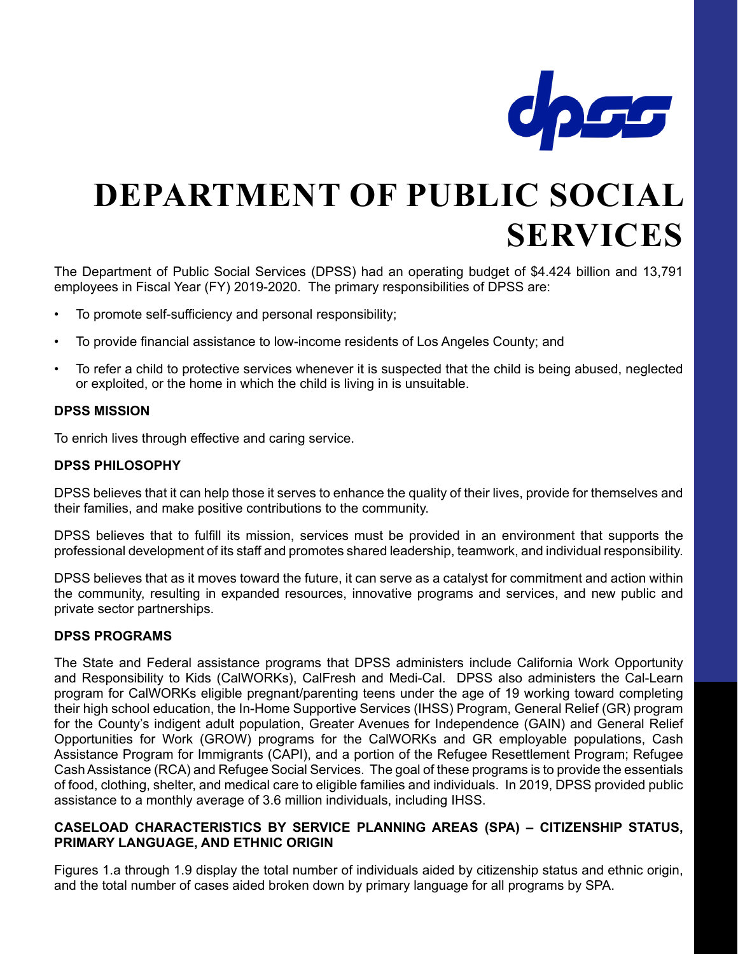

# **DEPARTMENT OF PUBLIC SOCIAL SERVICES**

The Department of Public Social Services (DPSS) had an operating budget of \$4.424 billion and 13,791 employees in Fiscal Year (FY) 2019-2020. The primary responsibilities of DPSS are:

- To promote self-sufficiency and personal responsibility;
- To provide financial assistance to low-income residents of Los Angeles County; and
- To refer a child to protective services whenever it is suspected that the child is being abused, neglected or exploited, or the home in which the child is living in is unsuitable.

#### **DPSS MISSION**

To enrich lives through effective and caring service.

#### **DPSS PHILOSOPHY**

DPSS believes that it can help those it serves to enhance the quality of their lives, provide for themselves and their families, and make positive contributions to the community.

DPSS believes that to fulfill its mission, services must be provided in an environment that supports the professional development of its staff and promotes shared leadership, teamwork, and individual responsibility.

DPSS believes that as it moves toward the future, it can serve as a catalyst for commitment and action within the community, resulting in expanded resources, innovative programs and services, and new public and private sector partnerships.

#### **DPSS PROGRAMS**

The State and Federal assistance programs that DPSS administers include California Work Opportunity and Responsibility to Kids (CalWORKs), CalFresh and Medi-Cal. DPSS also administers the Cal-Learn program for CalWORKs eligible pregnant/parenting teens under the age of 19 working toward completing their high school education, the In-Home Supportive Services (IHSS) Program, General Relief (GR) program for the County's indigent adult population, Greater Avenues for Independence (GAIN) and General Relief Opportunities for Work (GROW) programs for the CalWORKs and GR employable populations, Cash Assistance Program for Immigrants (CAPI), and a portion of the Refugee Resettlement Program; Refugee Cash Assistance (RCA) and Refugee Social Services. The goal of these programs is to provide the essentials of food, clothing, shelter, and medical care to eligible families and individuals. In 2019, DPSS provided public assistance to a monthly average of 3.6 million individuals, including IHSS.

#### **CASELOAD CHARACTERISTICS BY SERVICE PLANNING AREAS (SPA) – CITIZENSHIP STATUS, PRIMARY LANGUAGE, AND ETHNIC ORIGIN**

Figures 1.a through 1.9 display the total number of individuals aided by citizenship status and ethnic origin, and the total number of cases aided broken down by primary language for all programs by SPA.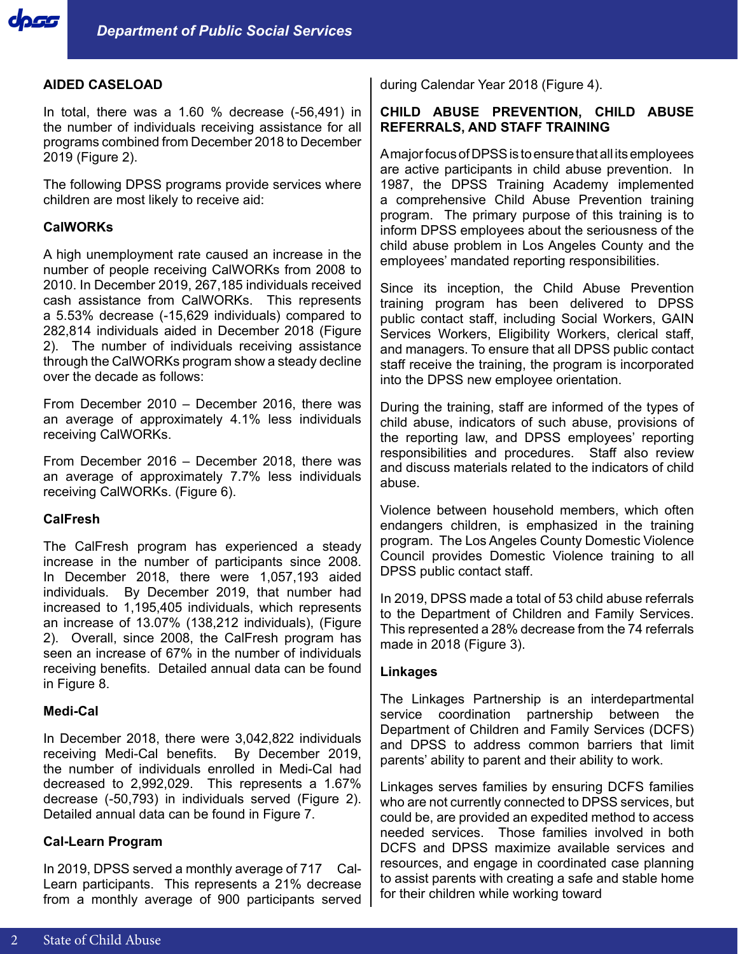

#### **AIDED CASELOAD**

In total, there was a 1.60 % decrease (-56,491) in the number of individuals receiving assistance for all programs combined from December 2018 to December 2019 (Figure 2).

The following DPSS programs provide services where children are most likely to receive aid:

#### **CalWORKs**

A high unemployment rate caused an increase in the number of people receiving CalWORKs from 2008 to 2010. In December 2019, 267,185 individuals received cash assistance from CalWORKs. This represents a 5.53% decrease (-15,629 individuals) compared to 282,814 individuals aided in December 2018 (Figure 2). The number of individuals receiving assistance through the CalWORKs program show a steady decline over the decade as follows:

From December 2010 – December 2016, there was an average of approximately 4.1% less individuals receiving CalWORKs.

From December 2016 – December 2018, there was an average of approximately 7.7% less individuals receiving CalWORKs. (Figure 6).

#### **CalFresh**

The CalFresh program has experienced a steady increase in the number of participants since 2008. In December 2018, there were 1,057,193 aided individuals. By December 2019, that number had increased to 1,195,405 individuals, which represents an increase of 13.07% (138,212 individuals), (Figure 2). Overall, since 2008, the CalFresh program has seen an increase of 67% in the number of individuals receiving benefits. Detailed annual data can be found in Figure 8.

#### **Medi-Cal**

In December 2018, there were 3,042,822 individuals receiving Medi-Cal benefits. By December 2019, the number of individuals enrolled in Medi-Cal had decreased to 2,992,029. This represents a 1.67% decrease (-50,793) in individuals served (Figure 2). Detailed annual data can be found in Figure 7.

#### **Cal-Learn Program**

In 2019, DPSS served a monthly average of 717 Cal-Learn participants. This represents a 21% decrease from a monthly average of 900 participants served during Calendar Year 2018 (Figure 4).

### **CHILD ABUSE PREVENTION, CHILD ABUSE REFERRALS, AND STAFF TRAINING**

A major focus of DPSS is to ensure that all its employees are active participants in child abuse prevention. In 1987, the DPSS Training Academy implemented a comprehensive Child Abuse Prevention training program. The primary purpose of this training is to inform DPSS employees about the seriousness of the child abuse problem in Los Angeles County and the employees' mandated reporting responsibilities.

Since its inception, the Child Abuse Prevention training program has been delivered to DPSS public contact staff, including Social Workers, GAIN Services Workers, Eligibility Workers, clerical staff, and managers. To ensure that all DPSS public contact staff receive the training, the program is incorporated into the DPSS new employee orientation.

During the training, staff are informed of the types of child abuse, indicators of such abuse, provisions of the reporting law, and DPSS employees' reporting responsibilities and procedures. Staff also review and discuss materials related to the indicators of child abuse.

Violence between household members, which often endangers children, is emphasized in the training program. The Los Angeles County Domestic Violence Council provides Domestic Violence training to all DPSS public contact staff.

In 2019, DPSS made a total of 53 child abuse referrals to the Department of Children and Family Services. This represented a 28% decrease from the 74 referrals made in 2018 (Figure 3).

#### **Linkages**

The Linkages Partnership is an interdepartmental service coordination partnership between the Department of Children and Family Services (DCFS) and DPSS to address common barriers that limit parents' ability to parent and their ability to work.

Linkages serves families by ensuring DCFS families who are not currently connected to DPSS services, but could be, are provided an expedited method to access needed services. Those families involved in both DCFS and DPSS maximize available services and resources, and engage in coordinated case planning to assist parents with creating a safe and stable home for their children while working toward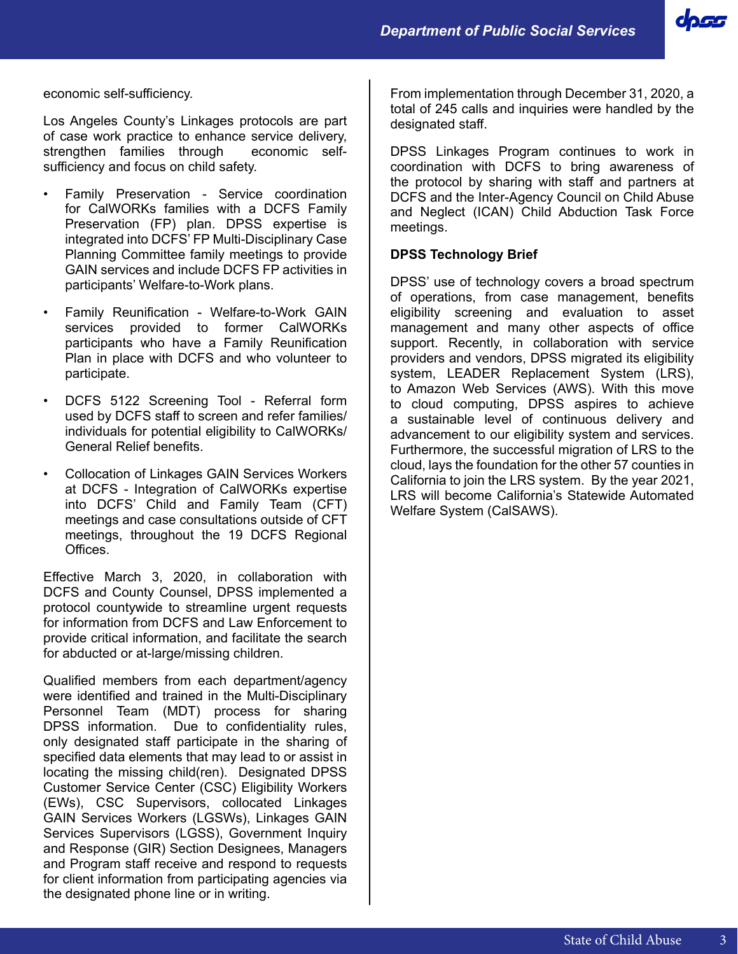doss

economic self-sufficiency.

Los Angeles County's Linkages protocols are part of case work practice to enhance service delivery, strengthen families through economic selfsufficiency and focus on child safety.

- Family Preservation Service coordination for CalWORKs families with a DCFS Family Preservation (FP) plan. DPSS expertise is integrated into DCFS' FP Multi-Disciplinary Case Planning Committee family meetings to provide GAIN services and include DCFS FP activities in participants' Welfare-to-Work plans.
- Family Reunification Welfare-to-Work GAIN services provided to former CalWORKs participants who have a Family Reunification Plan in place with DCFS and who volunteer to participate.
- DCFS 5122 Screening Tool Referral form used by DCFS staff to screen and refer families/ individuals for potential eligibility to CalWORKs/ General Relief benefits.
- Collocation of Linkages GAIN Services Workers at DCFS - Integration of CalWORKs expertise into DCFS' Child and Family Team (CFT) meetings and case consultations outside of CFT meetings, throughout the 19 DCFS Regional Offices.

Effective March 3, 2020, in collaboration with DCFS and County Counsel, DPSS implemented a protocol countywide to streamline urgent requests for information from DCFS and Law Enforcement to provide critical information, and facilitate the search for abducted or at-large/missing children.

Qualified members from each department/agency were identified and trained in the Multi-Disciplinary Personnel Team (MDT) process for sharing DPSS information. Due to confidentiality rules, only designated staff participate in the sharing of specified data elements that may lead to or assist in locating the missing child(ren). Designated DPSS Customer Service Center (CSC) Eligibility Workers (EWs), CSC Supervisors, collocated Linkages GAIN Services Workers (LGSWs), Linkages GAIN Services Supervisors (LGSS), Government Inquiry and Response (GIR) Section Designees, Managers and Program staff receive and respond to requests for client information from participating agencies via the designated phone line or in writing.

From implementation through December 31, 2020, a total of 245 calls and inquiries were handled by the designated staff.

DPSS Linkages Program continues to work in coordination with DCFS to bring awareness of the protocol by sharing with staff and partners at DCFS and the Inter-Agency Council on Child Abuse and Neglect (ICAN) Child Abduction Task Force meetings.

#### **DPSS Technology Brief**

DPSS' use of technology covers a broad spectrum of operations, from case management, benefits eligibility screening and evaluation to asset management and many other aspects of office support. Recently, in collaboration with service providers and vendors, DPSS migrated its eligibility system, LEADER Replacement System (LRS), to Amazon Web Services (AWS). With this move to cloud computing, DPSS aspires to achieve a sustainable level of continuous delivery and advancement to our eligibility system and services. Furthermore, the successful migration of LRS to the cloud, lays the foundation for the other 57 counties in California to join the LRS system. By the year 2021, LRS will become California's Statewide Automated Welfare System (CalSAWS).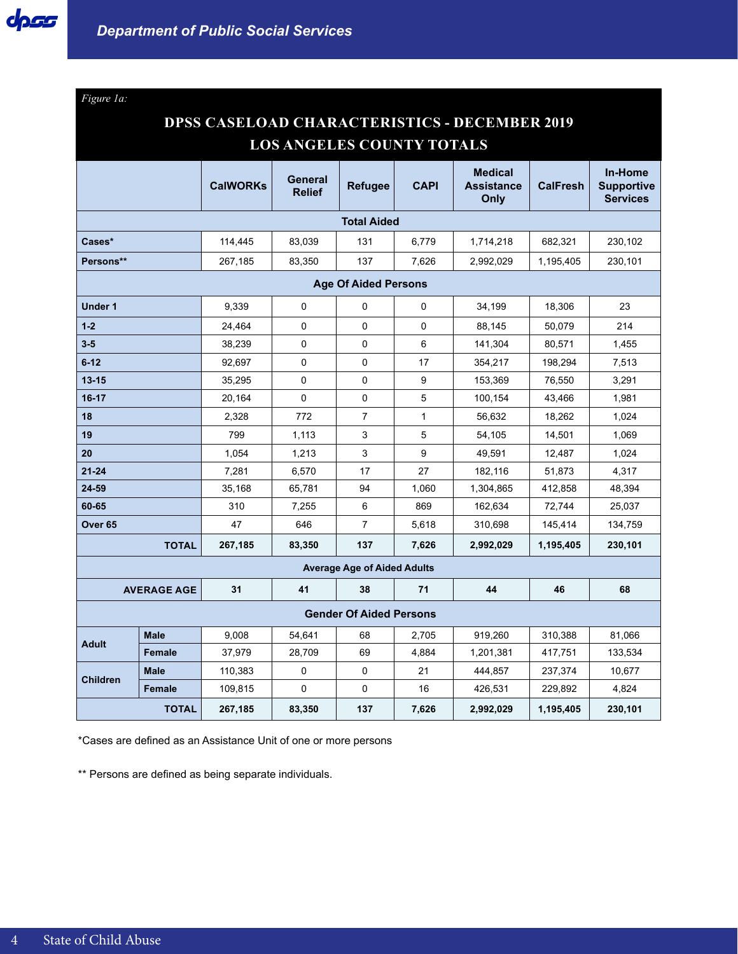*Figure 1a:*

## **DPSS CASELOAD CHARACTERISTICS - DECEMBER 2019 LOS ANGELES COUNTY TOTALS**

|                             |                    | <b>CalWORKs</b> | General<br><b>Relief</b> | <b>Refugee</b>                     | <b>CAPI</b>  | <b>Medical</b><br><b>Assistance</b><br>Only | <b>CalFresh</b> | In-Home<br><b>Supportive</b><br><b>Services</b> |
|-----------------------------|--------------------|-----------------|--------------------------|------------------------------------|--------------|---------------------------------------------|-----------------|-------------------------------------------------|
|                             |                    |                 |                          | <b>Total Aided</b>                 |              |                                             |                 |                                                 |
| Cases*                      |                    | 114,445         | 83,039                   | 131                                | 6,779        | 1,714,218                                   | 682,321         | 230,102                                         |
| Persons**                   |                    | 267,185         | 83,350                   | 137                                | 7,626        | 2,992,029                                   | 1,195,405       | 230,101                                         |
| <b>Age Of Aided Persons</b> |                    |                 |                          |                                    |              |                                             |                 |                                                 |
| <b>Under 1</b>              |                    | 9.339           | $\mathbf 0$              | 0                                  | 0            | 34,199                                      | 18,306          | 23                                              |
| $1 - 2$                     |                    | 24,464          | $\mathbf 0$              | 0                                  | 0            | 88,145                                      | 50,079          | 214                                             |
| $3-5$                       |                    | 38,239          | $\mathbf 0$              | 0                                  | 6            | 141,304                                     | 80,571          | 1,455                                           |
| $6 - 12$                    |                    | 92.697          | 0                        | 0                                  | 17           | 354,217                                     | 198,294         | 7,513                                           |
| $13 - 15$                   |                    | 35,295          | 0                        | $\mathbf 0$                        | 9            | 153,369                                     | 76,550          | 3,291                                           |
| $16 - 17$                   |                    | 20,164          | 0                        | $\pmb{0}$                          | 5            | 100,154                                     | 43,466          | 1,981                                           |
| 18                          |                    | 2,328           | 772                      | 7                                  | $\mathbf{1}$ | 56,632                                      | 18,262          | 1,024                                           |
| 19                          |                    | 799             | 1,113                    | 3                                  | 5            | 54,105                                      | 14,501          | 1,069                                           |
| 20                          |                    | 1,054           | 1,213                    | 3                                  | 9            | 49,591                                      | 12,487          | 1,024                                           |
| $21 - 24$                   |                    | 7,281           | 6,570                    | 17                                 | 27           | 182,116                                     | 51,873          | 4,317                                           |
| $24 - 59$                   |                    | 35,168          | 65,781                   | 94                                 | 1,060        | 1,304,865                                   | 412,858         | 48,394                                          |
| 60-65                       |                    | 310             | 7,255                    | 6                                  | 869          | 162,634                                     | 72,744          | 25,037                                          |
| Over <sub>65</sub>          |                    | 47              | 646                      | $\overline{7}$                     | 5,618        | 310,698                                     | 145,414         | 134,759                                         |
|                             | <b>TOTAL</b>       | 267,185         | 83,350                   | 137                                | 7,626        | 2,992,029                                   | 1,195,405       | 230,101                                         |
|                             |                    |                 |                          | <b>Average Age of Aided Adults</b> |              |                                             |                 |                                                 |
|                             | <b>AVERAGE AGE</b> | 31              | 41                       | 38                                 | 71           | 44                                          | 46              | 68                                              |
|                             |                    |                 |                          | <b>Gender Of Aided Persons</b>     |              |                                             |                 |                                                 |
|                             | <b>Male</b>        | 9,008           | 54,641                   | 68                                 | 2,705        | 919,260                                     | 310,388         | 81,066                                          |
| <b>Adult</b>                | <b>Female</b>      | 37,979          | 28,709                   | 69                                 | 4,884        | 1,201,381                                   | 417,751         | 133,534                                         |
| <b>Children</b>             | <b>Male</b>        | 110,383         | $\pmb{0}$                | 0                                  | 21           | 444,857                                     | 237,374         | 10,677                                          |
|                             | <b>Female</b>      | 109,815         | 0                        | 0                                  | 16           | 426,531                                     | 229,892         | 4,824                                           |
|                             | <b>TOTAL</b>       | 267,185         | 83,350                   | 137                                | 7,626        | 2,992,029                                   | 1,195,405       | 230,101                                         |

\*Cases are defined as an Assistance Unit of one or more persons

\*\* Persons are defined as being separate individuals.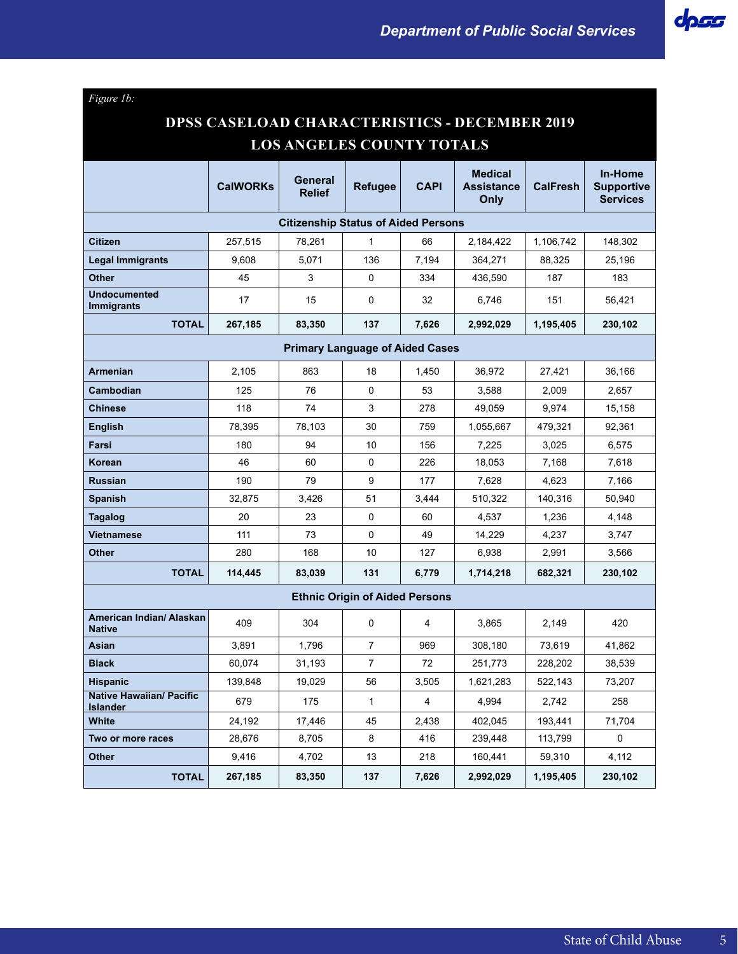

# **DPSS CASELOAD CHARACTERISTICS - DECEMBER 2019 LOS ANGELES COUNTY TOTALS**

|                                                    | <b>CalWORKs</b> | General<br><b>Relief</b>                   | Refugee                               | CAPI  | <b>Medical</b><br><b>Assistance</b><br>Only | <b>CalFresh</b> | In-Home<br><b>Supportive</b><br><b>Services</b> |  |
|----------------------------------------------------|-----------------|--------------------------------------------|---------------------------------------|-------|---------------------------------------------|-----------------|-------------------------------------------------|--|
|                                                    |                 | <b>Citizenship Status of Aided Persons</b> |                                       |       |                                             |                 |                                                 |  |
| <b>Citizen</b>                                     | 257,515         | 78,261                                     | $\mathbf{1}$                          | 66    | 2,184,422                                   | 1,106,742       | 148,302                                         |  |
| Legal Immigrants                                   | 9,608           | 5,071                                      | 136                                   | 7,194 | 364,271                                     | 88,325          | 25,196                                          |  |
| <b>Other</b>                                       | 45              | 3                                          | $\Omega$                              | 334   | 436,590                                     | 187             | 183                                             |  |
| <b>Undocumented</b><br><b>Immigrants</b>           | 17              | 15                                         | 0                                     | 32    | 6,746                                       | 151             | 56,421                                          |  |
| <b>TOTAL</b>                                       | 267,185         | 83,350                                     | 137                                   | 7,626 | 2,992,029                                   | 1,195,405       | 230,102                                         |  |
| <b>Primary Language of Aided Cases</b>             |                 |                                            |                                       |       |                                             |                 |                                                 |  |
| <b>Armenian</b>                                    | 2,105           | 863                                        | 18                                    | 1,450 | 36,972                                      | 27,421          | 36,166                                          |  |
| <b>Cambodian</b>                                   | 125             | 76                                         | 0                                     | 53    | 3,588                                       | 2,009           | 2,657                                           |  |
| <b>Chinese</b>                                     | 118             | 74                                         | 3                                     | 278   | 49,059                                      | 9,974           | 15,158                                          |  |
| <b>English</b>                                     | 78,395          | 78,103                                     | 30                                    | 759   | 1,055,667                                   | 479,321         | 92,361                                          |  |
| Farsi                                              | 180             | 94                                         | 10                                    | 156   | 7,225                                       | 3,025           | 6,575                                           |  |
| <b>Korean</b>                                      | 46              | 60                                         | 0                                     | 226   | 18,053                                      | 7,168           | 7,618                                           |  |
| <b>Russian</b>                                     | 190             | 79                                         | 9                                     | 177   | 7,628                                       | 4,623           | 7,166                                           |  |
| <b>Spanish</b>                                     | 32,875          | 3,426                                      | 51                                    | 3,444 | 510,322                                     | 140,316         | 50,940                                          |  |
| Tagalog                                            | 20              | 23                                         | 0                                     | 60    | 4,537                                       | 1,236           | 4,148                                           |  |
| Vietnamese                                         | 111             | 73                                         | 0                                     | 49    | 14,229                                      | 4,237           | 3,747                                           |  |
| <b>Other</b>                                       | 280             | 168                                        | 10                                    | 127   | 6,938                                       | 2,991           | 3,566                                           |  |
| <b>TOTAL</b>                                       | 114,445         | 83,039                                     | 131                                   | 6,779 | 1,714,218                                   | 682,321         | 230,102                                         |  |
|                                                    |                 |                                            | <b>Ethnic Origin of Aided Persons</b> |       |                                             |                 |                                                 |  |
| American Indian/ Alaskan<br><b>Native</b>          | 409             | 304                                        | 0                                     | 4     | 3,865                                       | 2,149           | 420                                             |  |
| Asian                                              | 3,891           | 1,796                                      | $\overline{7}$                        | 969   | 308,180                                     | 73,619          | 41,862                                          |  |
| <b>Black</b>                                       | 60,074          | 31,193                                     | $\overline{7}$                        | 72    | 251,773                                     | 228,202         | 38,539                                          |  |
| <b>Hispanic</b>                                    | 139,848         | 19,029                                     | 56                                    | 3,505 | 1,621,283                                   | 522,143         | 73,207                                          |  |
| <b>Native Hawaiian/ Pacific</b><br><b>Islander</b> | 679             | 175                                        | $\mathbf{1}$                          | 4     | 4,994                                       | 2,742           | 258                                             |  |
| White                                              | 24,192          | 17,446                                     | 45                                    | 2,438 | 402,045                                     | 193,441         | 71,704                                          |  |
| Two or more races                                  | 28,676          | 8,705                                      | 8                                     | 416   | 239,448                                     | 113,799         | $\mathbf 0$                                     |  |
| <b>Other</b>                                       | 9,416           | 4,702                                      | 13                                    | 218   | 160,441                                     | 59,310          | 4,112                                           |  |
| <b>TOTAL</b>                                       | 267,185         | 83,350                                     | 137                                   | 7,626 | 2,992,029                                   | 1,195,405       | 230,102                                         |  |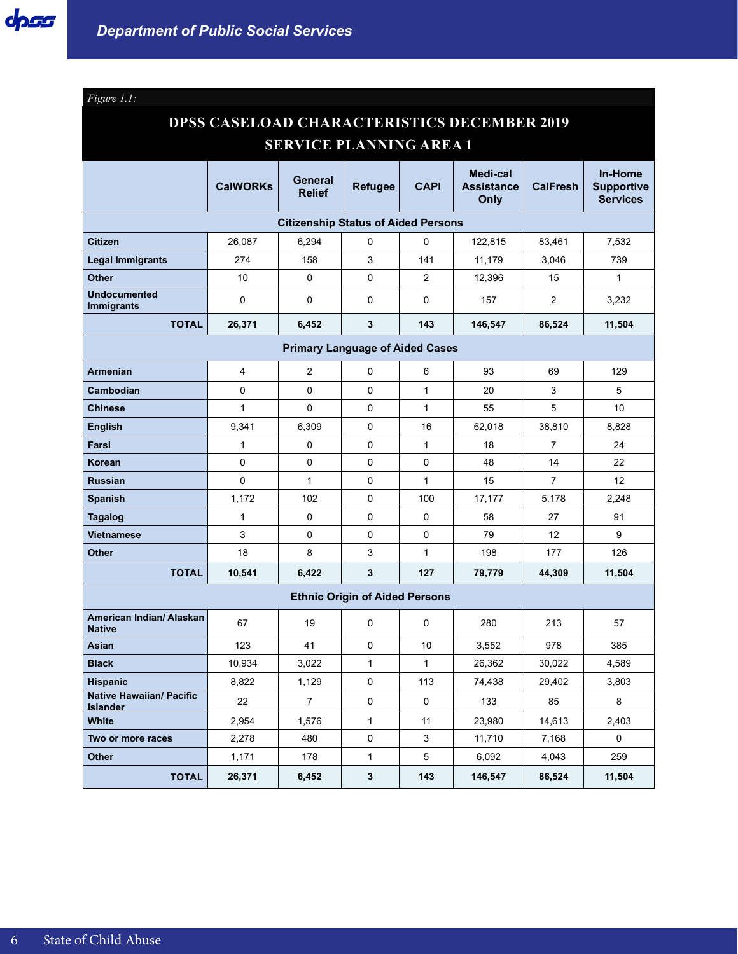*Figure 1.1:*

# **DPSS CASELOAD CHARACTERISTICS DECEMBER 2019 SERVICE PLANNING AREA 1**

|                                                    | <b>CalWORKs</b> | General<br><b>Relief</b>                   | <b>Refugee</b>                        | <b>CAPI</b>  | Medi-cal<br><b>Assistance</b><br>Only | <b>CalFresh</b> | In-Home<br><b>Supportive</b><br><b>Services</b> |
|----------------------------------------------------|-----------------|--------------------------------------------|---------------------------------------|--------------|---------------------------------------|-----------------|-------------------------------------------------|
|                                                    |                 | <b>Citizenship Status of Aided Persons</b> |                                       |              |                                       |                 |                                                 |
| <b>Citizen</b>                                     | 26,087          | 6,294                                      | 0                                     | 0            | 122,815                               | 83,461          | 7,532                                           |
| <b>Legal Immigrants</b>                            | 274             | 158                                        | 3                                     | 141          | 11,179                                | 3,046           | 739                                             |
| <b>Other</b>                                       | 10              | 0                                          | 0                                     | 2            | 12,396                                | 15              | $\mathbf{1}$                                    |
| <b>Undocumented</b><br><b>Immigrants</b>           | 0               | 0                                          | 0                                     | 0            | 157                                   | $\overline{2}$  | 3,232                                           |
| <b>TOTAL</b>                                       | 26,371          | 6,452                                      | 3                                     | 143          | 146,547                               | 86,524          | 11,504                                          |
| <b>Primary Language of Aided Cases</b>             |                 |                                            |                                       |              |                                       |                 |                                                 |
| <b>Armenian</b>                                    | 4               | 2                                          | 0                                     | 6            | 93                                    | 69              | 129                                             |
| Cambodian                                          | 0               | 0                                          | 0                                     | $\mathbf{1}$ | 20                                    | 3               | 5                                               |
| <b>Chinese</b>                                     | $\mathbf{1}$    | $\Omega$                                   | $\mathbf{0}$                          | $\mathbf{1}$ | 55                                    | 5               | 10                                              |
| <b>English</b>                                     | 9,341           | 6,309                                      | 0                                     | 16           | 62,018                                | 38,810          | 8,828                                           |
| Farsi                                              | 1               | 0                                          | 0                                     | $\mathbf{1}$ | 18                                    | 7               | 24                                              |
| <b>Korean</b>                                      | 0               | 0                                          | 0                                     | 0            | 48                                    | 14              | 22                                              |
| <b>Russian</b>                                     | 0               | $\mathbf{1}$                               | 0                                     | $\mathbf{1}$ | 15                                    | $\overline{7}$  | 12                                              |
| <b>Spanish</b>                                     | 1,172           | 102                                        | 0                                     | 100          | 17,177                                | 5,178           | 2,248                                           |
| <b>Tagalog</b>                                     | $\mathbf{1}$    | $\Omega$                                   | $\mathbf 0$                           | 0            | 58                                    | 27              | 91                                              |
| <b>Vietnamese</b>                                  | 3               | 0                                          | 0                                     | 0            | 79                                    | 12              | 9                                               |
| <b>Other</b>                                       | 18              | 8                                          | 3                                     | $\mathbf{1}$ | 198                                   | 177             | 126                                             |
| <b>TOTAL</b>                                       | 10,541          | 6,422                                      | 3                                     | 127          | 79,779                                | 44,309          | 11,504                                          |
|                                                    |                 |                                            | <b>Ethnic Origin of Aided Persons</b> |              |                                       |                 |                                                 |
| American Indian/ Alaskan<br><b>Native</b>          | 67              | 19                                         | 0                                     | $\Omega$     | 280                                   | 213             | 57                                              |
| Asian                                              | 123             | 41                                         | $\Omega$                              | 10           | 3,552                                 | 978             | 385                                             |
| <b>Black</b>                                       | 10,934          | 3,022                                      | $\mathbf{1}$                          | $\mathbf{1}$ | 26,362                                | 30,022          | 4,589                                           |
| <b>Hispanic</b>                                    | 8,822           | 1,129                                      | 0                                     | 113          | 74,438                                | 29,402          | 3,803                                           |
| <b>Native Hawaiian/ Pacific</b><br><b>Islander</b> | 22              | $\overline{7}$                             | $\mathbf{0}$                          | 0            | 133                                   | 85              | 8                                               |
| White                                              | 2,954           | 1,576                                      | $\mathbf{1}$                          | 11           | 23,980                                | 14,613          | 2,403                                           |
| Two or more races                                  | 2,278           | 480                                        | 0                                     | 3            | 11,710                                | 7,168           | 0                                               |
| <b>Other</b>                                       | 1,171           | 178                                        | 1                                     | 5            | 6,092                                 | 4,043           | 259                                             |
| <b>TOTAL</b>                                       | 26,371          | 6,452                                      | 3                                     | 143          | 146,547                               | 86,524          | 11,504                                          |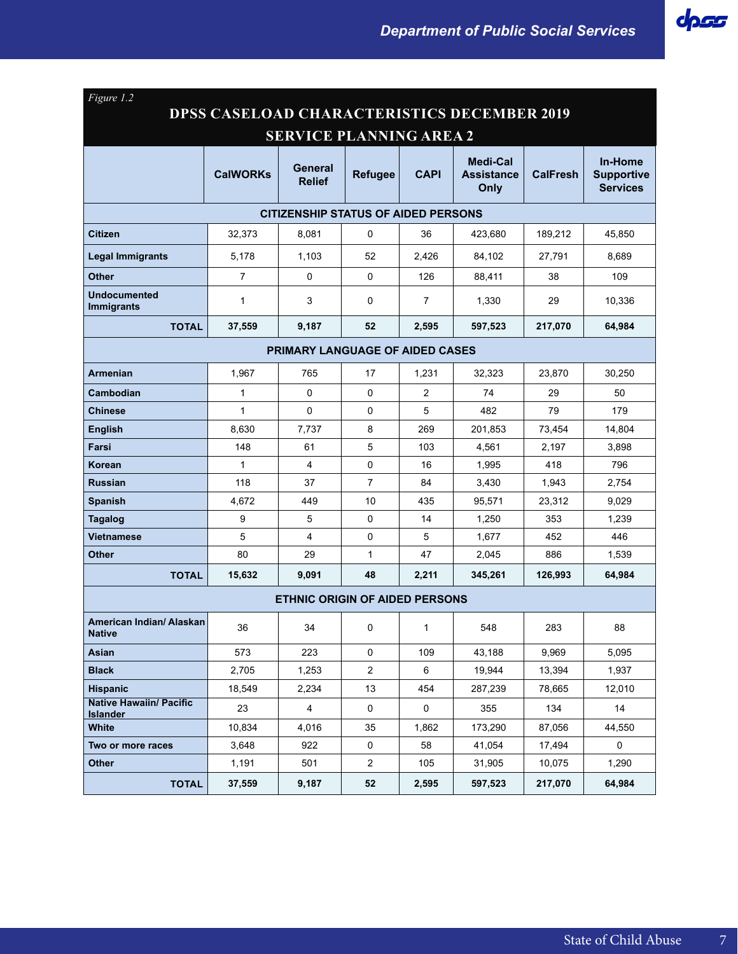| Figure 1.2                                         |                 |                                       |                |                |                                       |                 |                                                 |  |  |
|----------------------------------------------------|-----------------|---------------------------------------|----------------|----------------|---------------------------------------|-----------------|-------------------------------------------------|--|--|
| <b>DPSS CASELOAD CHARACTERISTICS DECEMBER 2019</b> |                 |                                       |                |                |                                       |                 |                                                 |  |  |
| <b>SERVICE PLANNING AREA 2</b>                     |                 |                                       |                |                |                                       |                 |                                                 |  |  |
|                                                    | <b>CalWORKs</b> | General<br><b>Relief</b>              | <b>Refugee</b> | <b>CAPI</b>    | Medi-Cal<br><b>Assistance</b><br>Only | <b>CalFresh</b> | In-Home<br><b>Supportive</b><br><b>Services</b> |  |  |
| <b>CITIZENSHIP STATUS OF AIDED PERSONS</b>         |                 |                                       |                |                |                                       |                 |                                                 |  |  |
| <b>Citizen</b>                                     | 32,373          | 8,081                                 | 0              | 36             | 423,680                               | 189,212         | 45,850                                          |  |  |
| <b>Legal Immigrants</b>                            | 5,178           | 1,103                                 | 52             | 2,426          | 84,102                                | 27,791          | 8,689                                           |  |  |
| <b>Other</b>                                       | $\overline{7}$  | 0                                     | $\Omega$       | 126            | 88,411                                | 38              | 109                                             |  |  |
| <b>Undocumented</b><br><b>Immigrants</b>           | $\mathbf{1}$    | 3                                     | 0              | $\overline{7}$ | 1,330                                 | 29              | 10,336                                          |  |  |
| <b>TOTAL</b>                                       | 37,559          | 9,187                                 | 52             | 2,595          | 597,523                               | 217,070         | 64,984                                          |  |  |
| <b>PRIMARY LANGUAGE OF AIDED CASES</b>             |                 |                                       |                |                |                                       |                 |                                                 |  |  |
| <b>Armenian</b>                                    | 1,967           | 765                                   | 17             | 1,231          | 32,323                                | 23,870          | 30,250                                          |  |  |
| Cambodian                                          | $\mathbf{1}$    | $\Omega$                              | 0              | $\overline{2}$ | 74                                    | 29              | 50                                              |  |  |
| <b>Chinese</b>                                     | $\mathbf{1}$    | $\mathbf 0$                           | 0              | 5              | 482                                   | 79              | 179                                             |  |  |
| <b>English</b>                                     | 8,630           | 7,737                                 | 8              | 269            | 201.853                               | 73,454          | 14,804                                          |  |  |
| Farsi                                              | 148             | 61                                    | 5              | 103            | 4,561                                 | 2,197           | 3,898                                           |  |  |
| Korean                                             | $\mathbf{1}$    | 4                                     | 0              | 16             | 1,995                                 | 418             | 796                                             |  |  |
| <b>Russian</b>                                     | 118             | 37                                    | $\overline{7}$ | 84             | 3,430                                 | 1,943           | 2,754                                           |  |  |
| <b>Spanish</b>                                     | 4,672           | 449                                   | 10             | 435            | 95,571                                | 23,312          | 9,029                                           |  |  |
| <b>Tagalog</b>                                     | 9               | 5                                     | 0              | 14             | 1,250                                 | 353             | 1,239                                           |  |  |
| <b>Vietnamese</b>                                  | 5               | 4                                     | 0              | 5              | 1,677                                 | 452             | 446                                             |  |  |
| <b>Other</b>                                       | 80              | 29                                    | $\mathbf{1}$   | 47             | 2,045                                 | 886             | 1,539                                           |  |  |
| <b>TOTAL</b>                                       | 15,632          | 9,091                                 | 48             | 2,211          | 345,261                               | 126,993         | 64,984                                          |  |  |
|                                                    |                 | <b>ETHNIC ORIGIN OF AIDED PERSONS</b> |                |                |                                       |                 |                                                 |  |  |
| American Indian/ Alaskan<br><b>Native</b>          | 36              | 34                                    | 0              | 1              | 548                                   | 283             | 88                                              |  |  |
| Asian                                              | 573             | 223                                   | 0              | 109            | 43,188                                | 9,969           | 5,095                                           |  |  |
| <b>Black</b>                                       | 2,705           | 1,253                                 | $\overline{a}$ | 6              | 19,944                                | 13,394          | 1,937                                           |  |  |
| <b>Hispanic</b>                                    | 18,549          | 2,234                                 | 13             | 454            | 287,239                               | 78,665          | 12,010                                          |  |  |
| <b>Native Hawaiin/ Pacific</b><br><b>Islander</b>  | 23              | $\overline{4}$                        | $\mathbf 0$    | $\mathbf 0$    | 355                                   | 134             | 14                                              |  |  |
| White                                              | 10,834          | 4,016                                 | 35             | 1,862          | 173,290                               | 87,056          | 44,550                                          |  |  |
| Two or more races                                  | 3,648           | 922                                   | 0              | 58             | 41,054                                | 17,494          | $\mathbf 0$                                     |  |  |
| <b>Other</b>                                       | 1,191           | 501                                   | $\overline{a}$ | 105            | 31,905                                | 10,075          | 1,290                                           |  |  |
| <b>TOTAL</b>                                       | 37,559          | 9,187                                 | 52             | 2,595          | 597,523                               | 217,070         | 64,984                                          |  |  |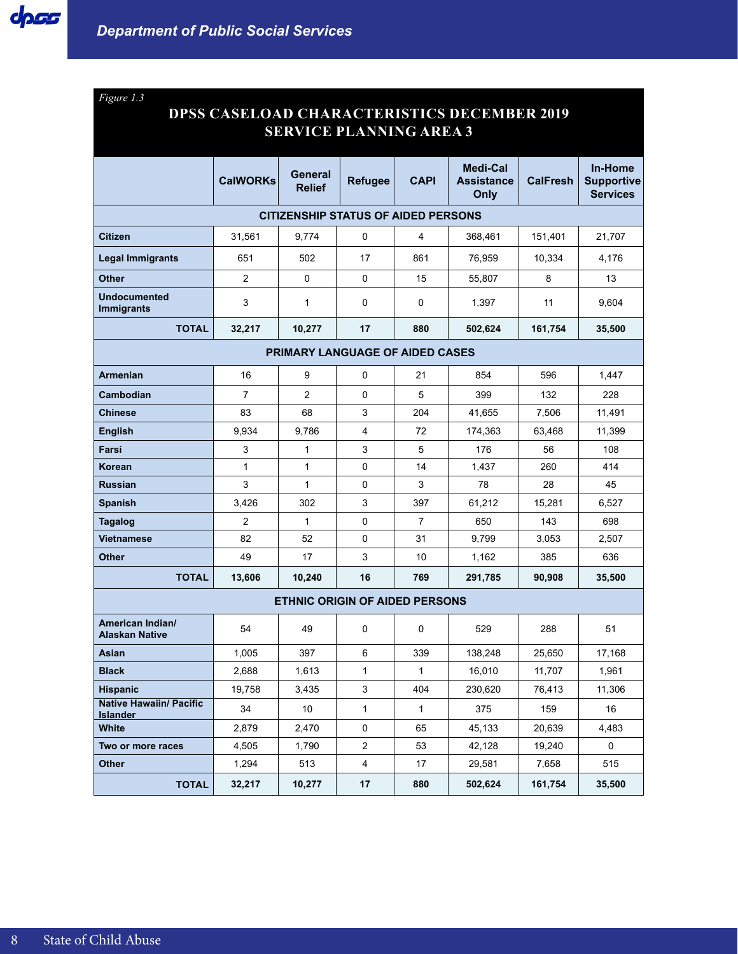*Figure 1.3*

## **DPSS CASELOAD CHARACTERISTICS DECEMBER 2019 SERVICE PLANNING AREA 3**

|                                                   | <b>CalWORKs</b> | General<br><b>Relief</b>                   | <b>Refugee</b> | <b>CAPI</b>  | <b>Medi-Cal</b><br><b>Assistance</b><br>Only | <b>CalFresh</b> | In-Home<br><b>Supportive</b><br><b>Services</b> |  |  |
|---------------------------------------------------|-----------------|--------------------------------------------|----------------|--------------|----------------------------------------------|-----------------|-------------------------------------------------|--|--|
|                                                   |                 | <b>CITIZENSHIP STATUS OF AIDED PERSONS</b> |                |              |                                              |                 |                                                 |  |  |
| <b>Citizen</b>                                    | 31,561          | 9,774                                      | 0              | 4            | 368,461                                      | 151,401         | 21,707                                          |  |  |
| <b>Legal Immigrants</b>                           | 651             | 502                                        | 17             | 861          | 76,959                                       | 10,334          | 4,176                                           |  |  |
| Other                                             | $\overline{2}$  | $\mathbf 0$                                | $\mathbf 0$    | 15           | 55,807                                       | 8               | 13                                              |  |  |
| <b>Undocumented</b><br><b>Immigrants</b>          | 3               | 1                                          | 0              | 0            | 1,397                                        | 11              | 9,604                                           |  |  |
| <b>TOTAL</b>                                      | 32,217          | 10,277                                     | 17             | 880          | 502,624                                      | 161,754         | 35,500                                          |  |  |
| <b>PRIMARY LANGUAGE OF AIDED CASES</b>            |                 |                                            |                |              |                                              |                 |                                                 |  |  |
| <b>Armenian</b>                                   | 16              | 9                                          | 0              | 21           | 854                                          | 596             | 1,447                                           |  |  |
| Cambodian                                         | $\overline{7}$  | $\overline{2}$                             | $\mathbf 0$    | 5            | 399                                          | 132             | 228                                             |  |  |
| <b>Chinese</b>                                    | 83              | 68                                         | 3              | 204          | 41.655                                       | 7,506           | 11,491                                          |  |  |
| <b>English</b>                                    | 9,934           | 9,786                                      | $\overline{4}$ | 72           | 174,363                                      | 63,468          | 11,399                                          |  |  |
| Farsi                                             | 3               | $\mathbf{1}$                               | 3              | 5            | 176                                          | 56              | 108                                             |  |  |
| Korean                                            | $\mathbf{1}$    | $\mathbf{1}$                               | 0              | 14           | 1,437                                        | 260             | 414                                             |  |  |
| <b>Russian</b>                                    | 3               | $\mathbf{1}$                               | $\pmb{0}$      | 3            | 78                                           | 28              | 45                                              |  |  |
| <b>Spanish</b>                                    | 3,426           | 302                                        | 3              | 397          | 61,212                                       | 15,281          | 6,527                                           |  |  |
| <b>Tagalog</b>                                    | $\overline{2}$  | $\mathbf{1}$                               | $\mathbf 0$    | 7            | 650                                          | 143             | 698                                             |  |  |
| Vietnamese                                        | 82              | 52                                         | 0              | 31           | 9,799                                        | 3,053           | 2,507                                           |  |  |
| <b>Other</b>                                      | 49              | 17                                         | 3              | 10           | 1,162                                        | 385             | 636                                             |  |  |
| <b>TOTAL</b>                                      | 13,606          | 10,240                                     | 16             | 769          | 291,785                                      | 90,908          | 35,500                                          |  |  |
|                                                   |                 | <b>ETHNIC ORIGIN OF AIDED PERSONS</b>      |                |              |                                              |                 |                                                 |  |  |
| American Indian/<br><b>Alaskan Native</b>         | 54              | 49                                         | 0              | 0            | 529                                          | 288             | 51                                              |  |  |
| Asian                                             | 1,005           | 397                                        | 6              | 339          | 138,248                                      | 25,650          | 17,168                                          |  |  |
| <b>Black</b>                                      | 2,688           | 1,613                                      | 1              | 1            | 16,010                                       | 11,707          | 1,961                                           |  |  |
| <b>Hispanic</b>                                   | 19,758          | 3,435                                      | 3              | 404          | 230,620                                      | 76,413          | 11,306                                          |  |  |
| <b>Native Hawaiin/ Pacific</b><br><b>Islander</b> | 34              | 10                                         | $\mathbf{1}$   | $\mathbf{1}$ | 375                                          | 159             | 16                                              |  |  |
| <b>White</b>                                      | 2,879           | 2,470                                      | 0              | 65           | 45,133                                       | 20,639          | 4,483                                           |  |  |
| Two or more races                                 | 4,505           | 1,790                                      | $\overline{2}$ | 53           | 42,128                                       | 19,240          | $\mathsf{O}$                                    |  |  |
| <b>Other</b>                                      | 1,294           | 513                                        | $\overline{4}$ | 17           | 29,581                                       | 7,658           | 515                                             |  |  |
| <b>TOTAL</b>                                      | 32,217          | 10,277                                     | 17             | 880          | 502,624                                      | 161,754         | 35,500                                          |  |  |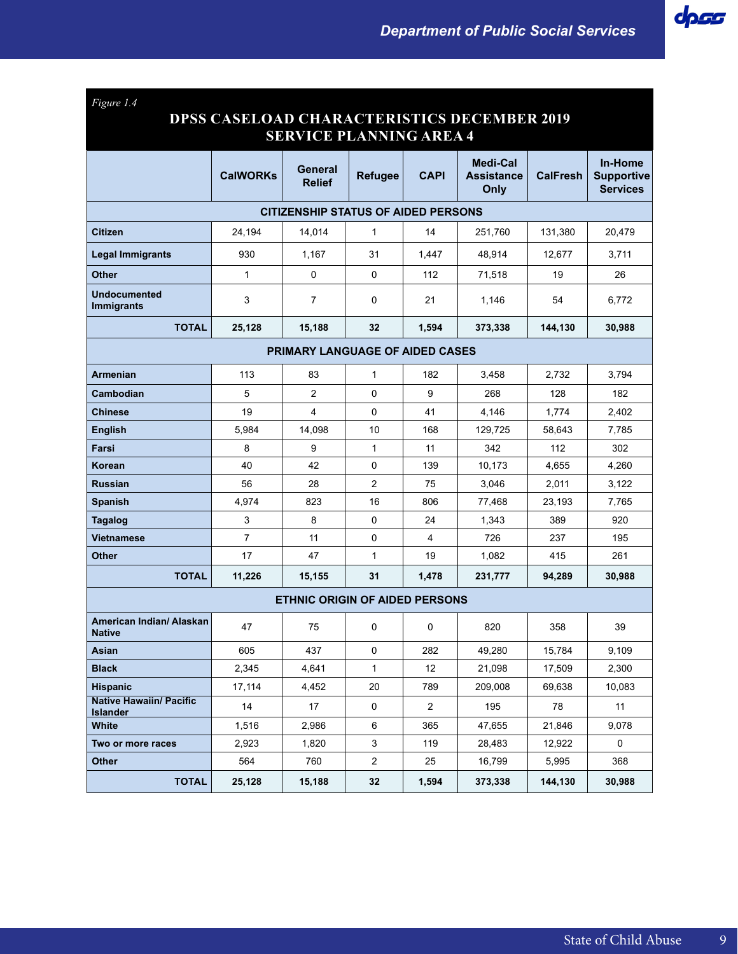| Figure 1.4                                        |                                                                                      |                                       |                |                |                                       |                 |                                                        |  |  |  |
|---------------------------------------------------|--------------------------------------------------------------------------------------|---------------------------------------|----------------|----------------|---------------------------------------|-----------------|--------------------------------------------------------|--|--|--|
|                                                   | <b>DPSS CASELOAD CHARACTERISTICS DECEMBER 2019</b><br><b>SERVICE PLANNING AREA 4</b> |                                       |                |                |                                       |                 |                                                        |  |  |  |
|                                                   |                                                                                      |                                       |                |                |                                       |                 |                                                        |  |  |  |
|                                                   | <b>CalWORKs</b>                                                                      | General<br><b>Relief</b>              | <b>Refugee</b> | <b>CAPI</b>    | Medi-Cal<br><b>Assistance</b><br>Only | <b>CalFresh</b> | <b>In-Home</b><br><b>Supportive</b><br><b>Services</b> |  |  |  |
| <b>CITIZENSHIP STATUS OF AIDED PERSONS</b>        |                                                                                      |                                       |                |                |                                       |                 |                                                        |  |  |  |
| <b>Citizen</b>                                    | 24,194                                                                               | 14,014                                | $\mathbf{1}$   | 14             | 251,760                               | 131,380         | 20,479                                                 |  |  |  |
| <b>Legal Immigrants</b>                           | 930                                                                                  | 1,167                                 | 31             | 1,447          | 48,914                                | 12,677          | 3,711                                                  |  |  |  |
| <b>Other</b>                                      | 1                                                                                    | 0                                     | 0              | 112            | 71,518                                | 19              | 26                                                     |  |  |  |
| <b>Undocumented</b><br><b>Immigrants</b>          | 3                                                                                    | $\overline{7}$                        | 0              | 21             | 1,146                                 | 54              | 6,772                                                  |  |  |  |
| <b>TOTAL</b>                                      | 25,128                                                                               | 15,188                                | 32             | 1,594          | 373,338                               | 144,130         | 30,988                                                 |  |  |  |
| <b>PRIMARY LANGUAGE OF AIDED CASES</b>            |                                                                                      |                                       |                |                |                                       |                 |                                                        |  |  |  |
| <b>Armenian</b>                                   | 113                                                                                  | 83                                    | 1              | 182            | 3,458                                 | 2,732           | 3.794                                                  |  |  |  |
| Cambodian                                         | 5                                                                                    | $\overline{2}$                        | 0              | 9              | 268                                   | 128             | 182                                                    |  |  |  |
| <b>Chinese</b>                                    | 19                                                                                   | 4                                     | 0              | 41             | 4.146                                 | 1,774           | 2,402                                                  |  |  |  |
| <b>English</b>                                    | 5,984                                                                                | 14,098                                | 10             | 168            | 129,725                               | 58,643          | 7,785                                                  |  |  |  |
| Farsi                                             | 8                                                                                    | 9                                     | $\mathbf{1}$   | 11             | 342                                   | 112             | 302                                                    |  |  |  |
| Korean                                            | 40                                                                                   | 42                                    | 0              | 139            | 10,173                                | 4,655           | 4,260                                                  |  |  |  |
| <b>Russian</b>                                    | 56                                                                                   | 28                                    | $\overline{c}$ | 75             | 3,046                                 | 2,011           | 3,122                                                  |  |  |  |
| <b>Spanish</b>                                    | 4,974                                                                                | 823                                   | 16             | 806            | 77,468                                | 23,193          | 7,765                                                  |  |  |  |
| <b>Tagalog</b>                                    | 3                                                                                    | 8                                     | 0              | 24             | 1,343                                 | 389             | 920                                                    |  |  |  |
| <b>Vietnamese</b>                                 | $\overline{7}$                                                                       | 11                                    | 0              | 4              | 726                                   | 237             | 195                                                    |  |  |  |
| <b>Other</b>                                      | 17                                                                                   | 47                                    | 1              | 19             | 1,082                                 | 415             | 261                                                    |  |  |  |
| <b>TOTAL</b>                                      | 11,226                                                                               | 15,155                                | 31             | 1,478          | 231,777                               | 94,289          | 30,988                                                 |  |  |  |
|                                                   |                                                                                      | <b>ETHNIC ORIGIN OF AIDED PERSONS</b> |                |                |                                       |                 |                                                        |  |  |  |
| American Indian/ Alaskan<br><b>Native</b>         | 47                                                                                   | 75                                    | 0              | 0              | 820                                   | 358             | 39                                                     |  |  |  |
| Asian                                             | 605                                                                                  | 437                                   | 0              | 282            | 49,280                                | 15,784          | 9,109                                                  |  |  |  |
| <b>Black</b>                                      | 2,345                                                                                | 4,641                                 | 1              | 12             | 21,098                                | 17,509          | 2,300                                                  |  |  |  |
| <b>Hispanic</b>                                   | 17,114                                                                               | 4,452                                 | 20             | 789            | 209,008                               | 69,638          | 10,083                                                 |  |  |  |
| <b>Native Hawaiin/ Pacific</b><br><b>Islander</b> | 14                                                                                   | 17                                    | 0              | $\overline{2}$ | 195                                   | 78              | 11                                                     |  |  |  |
| White                                             | 1,516                                                                                | 2,986                                 | 6              | 365            | 47,655                                | 21,846          | 9,078                                                  |  |  |  |
| Two or more races                                 | 2,923                                                                                | 1,820                                 | 3              | 119            | 28,483                                | 12,922          | 0                                                      |  |  |  |
| <b>Other</b>                                      | 564                                                                                  | 760                                   | $\overline{c}$ | 25             | 16,799                                | 5,995           | 368                                                    |  |  |  |
| <b>TOTAL</b>                                      | 25,128                                                                               | 15,188                                | 32             | 1,594          | 373,338                               | 144,130         | 30,988                                                 |  |  |  |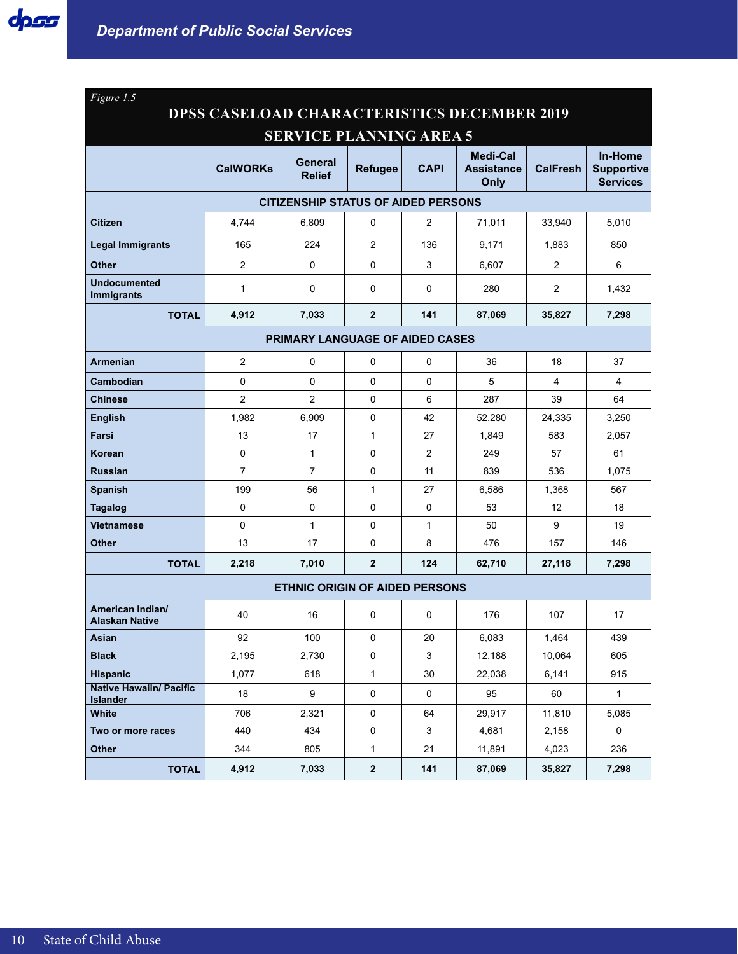| Figure 1.5                                         |                                            |                                       |                     |                |                                       |                 |                                                 |  |  |  |  |
|----------------------------------------------------|--------------------------------------------|---------------------------------------|---------------------|----------------|---------------------------------------|-----------------|-------------------------------------------------|--|--|--|--|
| <b>DPSS CASELOAD CHARACTERISTICS DECEMBER 2019</b> |                                            |                                       |                     |                |                                       |                 |                                                 |  |  |  |  |
| <b>SERVICE PLANNING AREA 5</b>                     |                                            |                                       |                     |                |                                       |                 |                                                 |  |  |  |  |
|                                                    | <b>CalWORKs</b>                            | General<br><b>Relief</b>              | <b>Refugee</b>      | <b>CAPI</b>    | Medi-Cal<br><b>Assistance</b><br>Only | <b>CalFresh</b> | In-Home<br><b>Supportive</b><br><b>Services</b> |  |  |  |  |
|                                                    | <b>CITIZENSHIP STATUS OF AIDED PERSONS</b> |                                       |                     |                |                                       |                 |                                                 |  |  |  |  |
| <b>Citizen</b>                                     | 4,744                                      | 6,809                                 | 0                   | $\overline{2}$ | 71,011                                | 33,940          | 5,010                                           |  |  |  |  |
| <b>Legal Immigrants</b>                            | 165                                        | 224                                   | $\overline{2}$      | 136            | 9,171                                 | 1,883           | 850                                             |  |  |  |  |
| <b>Other</b>                                       | $\overline{2}$                             | 0                                     | 0                   | 3              | 6,607                                 | $\overline{2}$  | 6                                               |  |  |  |  |
| <b>Undocumented</b><br><b>Immigrants</b>           | 1                                          | 0                                     | 0                   | 0              | 280                                   | $\overline{2}$  | 1,432                                           |  |  |  |  |
| <b>TOTAL</b>                                       | 4,912                                      | 7,033                                 | $\overline{2}$      | 141            | 87,069                                | 35,827          | 7,298                                           |  |  |  |  |
| <b>PRIMARY LANGUAGE OF AIDED CASES</b>             |                                            |                                       |                     |                |                                       |                 |                                                 |  |  |  |  |
| Armenian                                           | $\overline{c}$                             | 0                                     | 0                   | 0              | 36                                    | 18              | 37                                              |  |  |  |  |
| Cambodian                                          | 0                                          | 0                                     | 0                   | $\Omega$       | 5                                     | 4               | 4                                               |  |  |  |  |
| <b>Chinese</b>                                     | 2                                          | $\overline{2}$                        | 0                   | 6              | 287                                   | 39              | 64                                              |  |  |  |  |
| <b>English</b>                                     | 1,982                                      | 6,909                                 | 0                   | 42             | 52,280                                | 24,335          | 3,250                                           |  |  |  |  |
| Farsi                                              | 13                                         | 17                                    | $\mathbf{1}$        | 27             | 1,849                                 | 583             | 2,057                                           |  |  |  |  |
| Korean                                             | $\mathbf 0$                                | $\mathbf{1}$                          | 0                   | $\overline{2}$ | 249                                   | 57              | 61                                              |  |  |  |  |
| <b>Russian</b>                                     | $\overline{7}$                             | $\overline{7}$                        | 0                   | 11             | 839                                   | 536             | 1,075                                           |  |  |  |  |
| <b>Spanish</b>                                     | 199                                        | 56                                    | $\mathbf{1}$        | 27             | 6,586                                 | 1,368           | 567                                             |  |  |  |  |
| <b>Tagalog</b>                                     | $\mathbf 0$                                | 0                                     | 0                   | 0              | 53                                    | 12              | 18                                              |  |  |  |  |
| <b>Vietnamese</b>                                  | $\mathbf 0$                                | $\mathbf{1}$                          | 0                   | $\mathbf{1}$   | 50                                    | 9               | 19                                              |  |  |  |  |
| <b>Other</b>                                       | 13                                         | 17                                    | 0                   | 8              | 476                                   | 157             | 146                                             |  |  |  |  |
| <b>TOTAL</b>                                       | 2,218                                      | 7,010                                 | $\overline{2}$      | 124            | 62,710                                | 27,118          | 7,298                                           |  |  |  |  |
|                                                    |                                            | <b>ETHNIC ORIGIN OF AIDED PERSONS</b> |                     |                |                                       |                 |                                                 |  |  |  |  |
| American Indian/<br><b>Alaskan Native</b>          | 40                                         | 16                                    | 0                   | 0              | 176                                   | 107             | 17                                              |  |  |  |  |
| Asian                                              | 92                                         | 100                                   | 0                   | 20             | 6,083                                 | 1,464           | 439                                             |  |  |  |  |
| <b>Black</b>                                       | 2,195                                      | 2,730                                 | $\mathsf{O}\xspace$ | $\mathbf{3}$   | 12,188                                | 10,064          | 605                                             |  |  |  |  |
| <b>Hispanic</b>                                    | 1,077                                      | 618                                   | $\mathbf{1}$        | 30             | 22,038                                | 6,141           | 915                                             |  |  |  |  |
| <b>Native Hawaiin/ Pacific</b><br><b>Islander</b>  | 18                                         | 9                                     | 0                   | $\mathbf 0$    | 95                                    | 60              | $\mathbf{1}$                                    |  |  |  |  |
| <b>White</b>                                       | 706                                        | 2,321                                 | 0                   | 64             | 29,917                                | 11,810          | 5,085                                           |  |  |  |  |
| Two or more races                                  | 440                                        | 434                                   | 0                   | 3              | 4,681                                 | 2,158           | 0                                               |  |  |  |  |
| <b>Other</b>                                       | 344                                        | 805                                   | $\mathbf{1}$        | 21             | 11,891                                | 4,023           | 236                                             |  |  |  |  |
| <b>TOTAL</b>                                       | 4,912                                      | 7,033                                 | $\mathbf{2}$        | 141            | 87,069                                | 35,827          | 7,298                                           |  |  |  |  |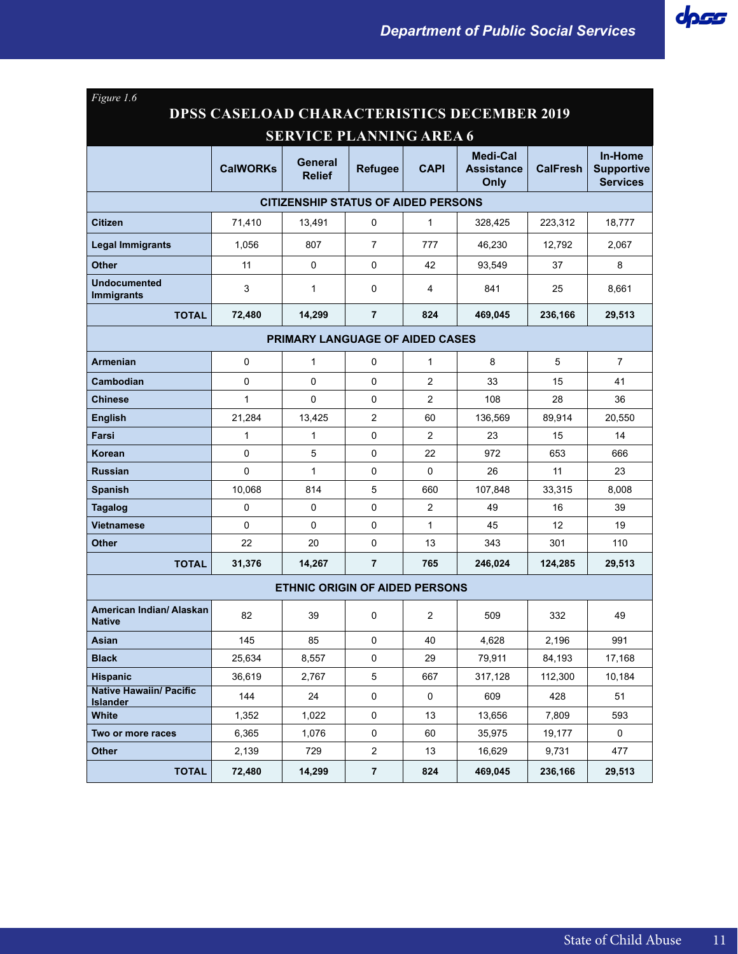| Figure 1.6                                         |                 |                                            |                |                |                                       |                 |                                                 |  |  |  |
|----------------------------------------------------|-----------------|--------------------------------------------|----------------|----------------|---------------------------------------|-----------------|-------------------------------------------------|--|--|--|
| <b>DPSS CASELOAD CHARACTERISTICS DECEMBER 2019</b> |                 |                                            |                |                |                                       |                 |                                                 |  |  |  |
|                                                    |                 | <b>SERVICE PLANNING AREA 6</b>             |                |                |                                       |                 |                                                 |  |  |  |
|                                                    | <b>CalWORKs</b> | General<br><b>Relief</b>                   | <b>Refugee</b> | CAPI           | Medi-Cal<br><b>Assistance</b><br>Only | <b>CalFresh</b> | In-Home<br><b>Supportive</b><br><b>Services</b> |  |  |  |
|                                                    |                 | <b>CITIZENSHIP STATUS OF AIDED PERSONS</b> |                |                |                                       |                 |                                                 |  |  |  |
| <b>Citizen</b>                                     | 71.410          | 13,491                                     | 0              | $\mathbf 1$    | 328,425                               | 223,312         | 18,777                                          |  |  |  |
| <b>Legal Immigrants</b>                            | 1.056           | 807                                        | 7              | 777            | 46.230                                | 12,792          | 2,067                                           |  |  |  |
| <b>Other</b>                                       | 11              | 0                                          | $\Omega$       | 42             | 93.549                                | 37              | 8                                               |  |  |  |
| <b>Undocumented</b><br><b>Immigrants</b>           | 3               | 1                                          | 0              | 4              | 841                                   | 25              | 8,661                                           |  |  |  |
| <b>TOTAL</b>                                       | 72,480          | 14,299                                     | $\overline{7}$ | 824            | 469,045                               | 236,166         | 29,513                                          |  |  |  |
| <b>PRIMARY LANGUAGE OF AIDED CASES</b>             |                 |                                            |                |                |                                       |                 |                                                 |  |  |  |
| <b>Armenian</b>                                    | 0               | 1                                          | 0              | 1              | 8                                     | 5               | $\overline{7}$                                  |  |  |  |
| Cambodian                                          | 0               | 0                                          | 0              | $\overline{2}$ | 33                                    | 15              | 41                                              |  |  |  |
| <b>Chinese</b>                                     | $\mathbf{1}$    | 0                                          | 0              | 2              | 108                                   | 28              | 36                                              |  |  |  |
| <b>English</b>                                     | 21,284          | 13,425                                     | 2              | 60             | 136,569                               | 89,914          | 20,550                                          |  |  |  |
| Farsi                                              | 1               | $\mathbf{1}$                               | 0              | $\overline{2}$ | 23                                    | 15              | 14                                              |  |  |  |
| Korean                                             | 0               | 5                                          | 0              | 22             | 972                                   | 653             | 666                                             |  |  |  |
| <b>Russian</b>                                     | $\Omega$        | 1                                          | 0              | $\Omega$       | 26                                    | 11              | 23                                              |  |  |  |
| <b>Spanish</b>                                     | 10,068          | 814                                        | 5              | 660            | 107,848                               | 33,315          | 8,008                                           |  |  |  |
| <b>Tagalog</b>                                     | 0               | 0                                          | 0              | $\overline{2}$ | 49                                    | 16              | 39                                              |  |  |  |
| <b>Vietnamese</b>                                  | $\Omega$        | 0                                          | 0              | 1              | 45                                    | 12              | 19                                              |  |  |  |
| <b>Other</b>                                       | 22              | 20                                         | 0              | 13             | 343                                   | 301             | 110                                             |  |  |  |
| <b>TOTAL</b>                                       | 31,376          | 14,267                                     | 7              | 765            | 246,024                               | 124,285         | 29,513                                          |  |  |  |
|                                                    |                 | <b>ETHNIC ORIGIN OF AIDED PERSONS</b>      |                |                |                                       |                 |                                                 |  |  |  |
| American Indian/ Alaskan<br><b>Native</b>          | 82              | 39                                         | 0              | $\overline{2}$ | 509                                   | 332             | 49                                              |  |  |  |
| Asian                                              | 145             | 85                                         | 0              | 40             | 4,628                                 | 2,196           | 991                                             |  |  |  |
| <b>Black</b>                                       | 25,634          | 8,557                                      | $\pmb{0}$      | 29             | 79,911                                | 84,193          | 17,168                                          |  |  |  |
| <b>Hispanic</b>                                    | 36,619          | 2,767                                      | 5              | 667            | 317,128                               | 112,300         | 10,184                                          |  |  |  |
| <b>Native Hawaiin/ Pacific</b><br><b>Islander</b>  | 144             | 24                                         | $\pmb{0}$      | 0              | 609                                   | 428             | 51                                              |  |  |  |
| White                                              | 1,352           | 1,022                                      | 0              | 13             | 13,656                                | 7,809           | 593                                             |  |  |  |
| Two or more races                                  | 6,365           | 1,076                                      | 0              | 60             | 35,975                                | 19,177          | 0                                               |  |  |  |
| Other                                              | 2,139           | 729                                        | $\overline{2}$ | 13             | 16,629                                | 9,731           | 477                                             |  |  |  |
| <b>TOTAL</b>                                       | 72,480          | 14,299                                     | $\overline{7}$ | 824            | 469,045                               | 236,166         | 29,513                                          |  |  |  |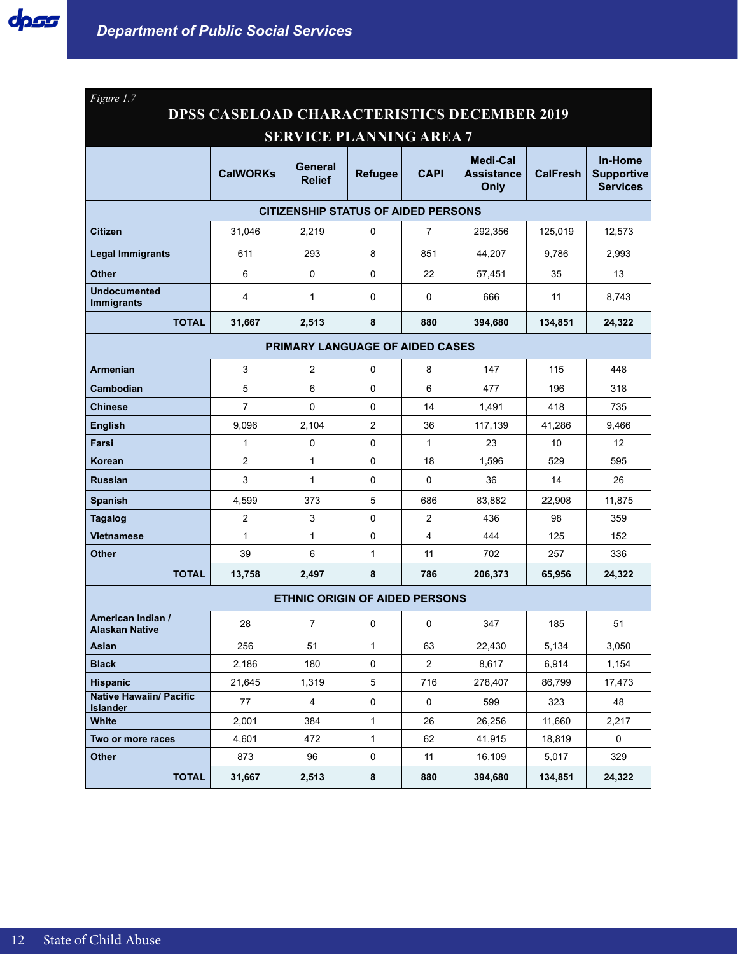| Figure 1.7                                         |                                            |                                       |                |                |                                              |                 |                                                 |  |  |  |
|----------------------------------------------------|--------------------------------------------|---------------------------------------|----------------|----------------|----------------------------------------------|-----------------|-------------------------------------------------|--|--|--|
| <b>DPSS CASELOAD CHARACTERISTICS DECEMBER 2019</b> |                                            |                                       |                |                |                                              |                 |                                                 |  |  |  |
|                                                    |                                            | <b>SERVICE PLANNING AREA 7</b>        |                |                |                                              |                 |                                                 |  |  |  |
|                                                    | <b>CalWORKs</b>                            | General<br><b>Relief</b>              | <b>Refugee</b> | <b>CAPI</b>    | <b>Medi-Cal</b><br><b>Assistance</b><br>Only | <b>CalFresh</b> | In-Home<br><b>Supportive</b><br><b>Services</b> |  |  |  |
|                                                    | <b>CITIZENSHIP STATUS OF AIDED PERSONS</b> |                                       |                |                |                                              |                 |                                                 |  |  |  |
| <b>Citizen</b>                                     | 31.046                                     | 2,219                                 | 0              | 7              | 292,356                                      | 125,019         | 12,573                                          |  |  |  |
| <b>Legal Immigrants</b>                            | 611                                        | 293                                   | 8              | 851            | 44,207                                       | 9,786           | 2,993                                           |  |  |  |
| <b>Other</b>                                       | 6                                          | 0                                     | 0              | 22             | 57,451                                       | 35              | 13                                              |  |  |  |
| <b>Undocumented</b><br><b>Immigrants</b>           | 4                                          | 1                                     | 0              | $\mathbf 0$    | 666                                          | 11              | 8,743                                           |  |  |  |
| <b>TOTAL</b>                                       | 31,667                                     | 2,513                                 | 8              | 880            | 394,680                                      | 134,851         | 24,322                                          |  |  |  |
| PRIMARY LANGUAGE OF AIDED CASES                    |                                            |                                       |                |                |                                              |                 |                                                 |  |  |  |
| <b>Armenian</b>                                    | 3                                          | $\overline{2}$                        | 0              | 8              | 147                                          | 115             | 448                                             |  |  |  |
| Cambodian                                          | 5                                          | 6                                     | 0              | 6              | 477                                          | 196             | 318                                             |  |  |  |
| <b>Chinese</b>                                     | $\overline{7}$                             | 0                                     | 0              | 14             | 1,491                                        | 418             | 735                                             |  |  |  |
| <b>English</b>                                     | 9,096                                      | 2.104                                 | 2              | 36             | 117,139                                      | 41,286          | 9,466                                           |  |  |  |
| Farsi                                              | 1                                          | 0                                     | 0              | $\mathbf{1}$   | 23                                           | 10              | 12                                              |  |  |  |
| Korean                                             | 2                                          | 1                                     | 0              | 18             | 1,596                                        | 529             | 595                                             |  |  |  |
| <b>Russian</b>                                     | 3                                          | $\mathbf{1}$                          | 0              | $\mathbf 0$    | 36                                           | 14              | 26                                              |  |  |  |
| <b>Spanish</b>                                     | 4,599                                      | 373                                   | 5              | 686            | 83,882                                       | 22,908          | 11,875                                          |  |  |  |
| <b>Tagalog</b>                                     | 2                                          | 3                                     | 0              | $\overline{2}$ | 436                                          | 98              | 359                                             |  |  |  |
| <b>Vietnamese</b>                                  | $\mathbf{1}$                               | 1                                     | 0              | $\overline{4}$ | 444                                          | 125             | 152                                             |  |  |  |
| <b>Other</b>                                       | 39                                         | 6                                     | $\mathbf{1}$   | 11             | 702                                          | 257             | 336                                             |  |  |  |
| <b>TOTAL</b>                                       | 13,758                                     | 2,497                                 | 8              | 786            | 206,373                                      | 65,956          | 24,322                                          |  |  |  |
|                                                    |                                            | <b>ETHNIC ORIGIN OF AIDED PERSONS</b> |                |                |                                              |                 |                                                 |  |  |  |
| American Indian /<br><b>Alaskan Native</b>         | 28                                         | 7                                     | 0              | 0              | 347                                          | 185             | 51                                              |  |  |  |
| Asian                                              | 256                                        | 51                                    | $\mathbf{1}$   | 63             | 22,430                                       | 5,134           | 3,050                                           |  |  |  |
| <b>Black</b>                                       | 2,186                                      | 180                                   | $\pmb{0}$      | $\overline{2}$ | 8,617                                        | 6,914           | 1,154                                           |  |  |  |
| <b>Hispanic</b>                                    | 21,645                                     | 1,319                                 | 5              | 716            | 278,407                                      | 86,799          | 17,473                                          |  |  |  |
| <b>Native Hawaiin/ Pacific</b><br><b>Islander</b>  | 77                                         | $\overline{4}$                        | 0              | $\mathbf 0$    | 599                                          | 323             | 48                                              |  |  |  |
| White                                              | 2,001                                      | 384                                   | $\mathbf{1}$   | 26             | 26,256                                       | 11,660          | 2,217                                           |  |  |  |
| Two or more races                                  | 4,601                                      | 472                                   | $\mathbf{1}$   | 62             | 41,915                                       | 18,819          | 0                                               |  |  |  |
| <b>Other</b>                                       | 873                                        | 96                                    | 0              | 11             | 16,109                                       | 5,017           | 329                                             |  |  |  |
| <b>TOTAL</b>                                       | 31,667                                     | 2,513                                 | 8              | 880            | 394,680                                      | 134,851         | 24,322                                          |  |  |  |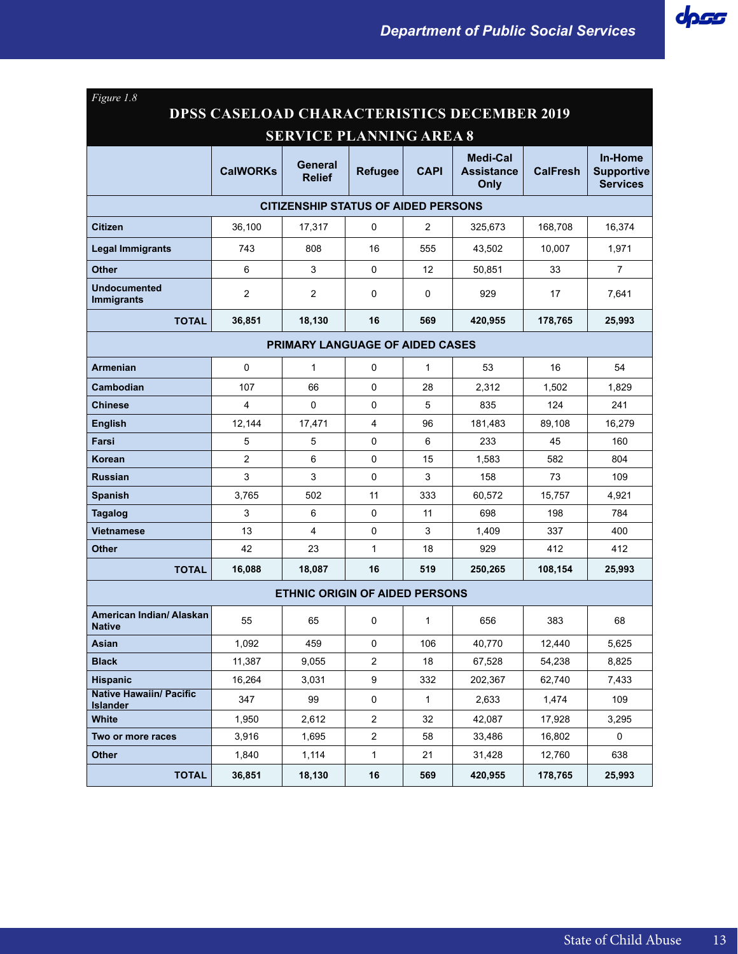| Figure 1.8                                         |                 |                                            |                |              |                                       |                 |                                                 |  |  |
|----------------------------------------------------|-----------------|--------------------------------------------|----------------|--------------|---------------------------------------|-----------------|-------------------------------------------------|--|--|
| <b>DPSS CASELOAD CHARACTERISTICS DECEMBER 2019</b> |                 |                                            |                |              |                                       |                 |                                                 |  |  |
| <b>SERVICE PLANNING AREA 8</b>                     |                 |                                            |                |              |                                       |                 |                                                 |  |  |
|                                                    | <b>CalWORKs</b> | General<br><b>Relief</b>                   | <b>Refugee</b> | <b>CAPI</b>  | Medi-Cal<br><b>Assistance</b><br>Only | <b>CalFresh</b> | In-Home<br><b>Supportive</b><br><b>Services</b> |  |  |
|                                                    |                 | <b>CITIZENSHIP STATUS OF AIDED PERSONS</b> |                |              |                                       |                 |                                                 |  |  |
| <b>Citizen</b>                                     | 36,100          | 17,317                                     | 0              | 2            | 325,673                               | 168,708         | 16,374                                          |  |  |
| <b>Legal Immigrants</b>                            | 743             | 808                                        | 16             | 555          | 43,502                                | 10.007          | 1,971                                           |  |  |
| <b>Other</b>                                       | 6               | 3                                          | 0              | 12           | 50,851                                | 33              | $\overline{7}$                                  |  |  |
| <b>Undocumented</b><br><b>Immigrants</b>           | 2               | $\overline{2}$                             | 0              | 0            | 929                                   | 17              | 7,641                                           |  |  |
| <b>TOTAL</b>                                       | 36,851          | 18,130                                     | 16             | 569          | 420,955                               | 178,765         | 25,993                                          |  |  |
| <b>PRIMARY LANGUAGE OF AIDED CASES</b>             |                 |                                            |                |              |                                       |                 |                                                 |  |  |
| <b>Armenian</b>                                    | 0               | $\mathbf{1}$                               | 0              | $\mathbf{1}$ | 53                                    | 16              | 54                                              |  |  |
| Cambodian                                          | 107             | 66                                         | 0              | 28           | 2,312                                 | 1,502           | 1,829                                           |  |  |
| <b>Chinese</b>                                     | 4               | $\Omega$                                   | 0              | 5            | 835                                   | 124             | 241                                             |  |  |
| <b>English</b>                                     | 12,144          | 17,471                                     | $\overline{4}$ | 96           | 181,483                               | 89,108          | 16,279                                          |  |  |
| Farsi                                              | 5               | 5                                          | 0              | 6            | 233                                   | 45              | 160                                             |  |  |
| Korean                                             | 2               | 6                                          | 0              | 15           | 1,583                                 | 582             | 804                                             |  |  |
| <b>Russian</b>                                     | 3               | 3                                          | 0              | 3            | 158                                   | 73              | 109                                             |  |  |
| <b>Spanish</b>                                     | 3,765           | 502                                        | 11             | 333          | 60,572                                | 15,757          | 4,921                                           |  |  |
| <b>Tagalog</b>                                     | 3               | 6                                          | 0              | 11           | 698                                   | 198             | 784                                             |  |  |
| <b>Vietnamese</b>                                  | 13              | 4                                          | 0              | 3            | 1,409                                 | 337             | 400                                             |  |  |
| <b>Other</b>                                       | 42              | 23                                         | 1              | 18           | 929                                   | 412             | 412                                             |  |  |
| <b>TOTAL</b>                                       | 16,088          | 18,087                                     | 16             | 519          | 250,265                               | 108,154         | 25,993                                          |  |  |
|                                                    |                 | <b>ETHNIC ORIGIN OF AIDED PERSONS</b>      |                |              |                                       |                 |                                                 |  |  |
| American Indian/ Alaskan<br><b>Native</b>          | 55              | 65                                         | 0              | 1            | 656                                   | 383             | 68                                              |  |  |
| Asian                                              | 1,092           | 459                                        | 0              | 106          | 40,770                                | 12,440          | 5,625                                           |  |  |
| <b>Black</b>                                       | 11,387          | 9,055                                      | $\overline{2}$ | 18           | 67,528                                | 54,238          | 8,825                                           |  |  |
| <b>Hispanic</b>                                    | 16,264          | 3,031                                      | 9              | 332          | 202,367                               | 62,740          | 7,433                                           |  |  |
| <b>Native Hawaiin/ Pacific</b><br><b>Islander</b>  | 347             | 99                                         | 0              | $\mathbf{1}$ | 2,633                                 | 1,474           | 109                                             |  |  |
| White                                              | 1,950           | 2,612                                      | $\overline{a}$ | 32           | 42,087                                | 17,928          | 3,295                                           |  |  |
| Two or more races                                  | 3,916           | 1,695                                      | $\overline{a}$ | 58           | 33,486                                | 16,802          | $\mathbf 0$                                     |  |  |
| <b>Other</b>                                       | 1,840           | 1,114                                      | $\mathbf{1}$   | 21           | 31,428                                | 12,760          | 638                                             |  |  |
| <b>TOTAL</b>                                       | 36,851          | 18,130                                     | 16             | 569          | 420,955                               | 178,765         | 25,993                                          |  |  |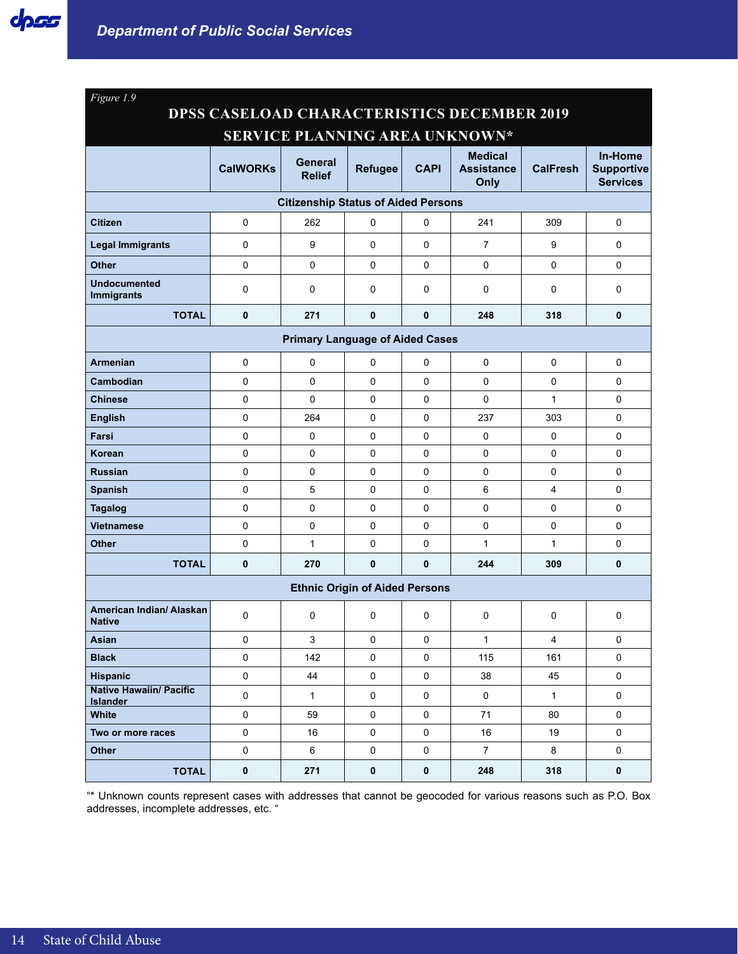| Figure 1.9                                         |                     |                                            |                                       |                     |                                             |                 |                                                 |  |  |
|----------------------------------------------------|---------------------|--------------------------------------------|---------------------------------------|---------------------|---------------------------------------------|-----------------|-------------------------------------------------|--|--|
| <b>DPSS CASELOAD CHARACTERISTICS DECEMBER 2019</b> |                     |                                            |                                       |                     |                                             |                 |                                                 |  |  |
|                                                    |                     |                                            |                                       |                     | SERVICE PLANNING AREA UNKNOWN*              |                 |                                                 |  |  |
|                                                    | <b>CalWORKs</b>     | General<br><b>Relief</b>                   | <b>Refugee</b>                        | <b>CAPI</b>         | <b>Medical</b><br><b>Assistance</b><br>Only | <b>CalFresh</b> | In-Home<br><b>Supportive</b><br><b>Services</b> |  |  |
|                                                    |                     | <b>Citizenship Status of Aided Persons</b> |                                       |                     |                                             |                 |                                                 |  |  |
| <b>Citizen</b>                                     | 0                   | 262                                        | 0                                     | $\mathbf 0$         | 241                                         | 309             | $\mathbf 0$                                     |  |  |
| <b>Legal Immigrants</b>                            | 0                   | 9                                          | $\Omega$                              | $\Omega$            | $\overline{7}$                              | 9               | 0                                               |  |  |
| <b>Other</b>                                       | 0                   | 0                                          | 0                                     | $\mathbf 0$         | 0                                           | $\Omega$        | 0                                               |  |  |
| <b>Undocumented</b><br><b>Immigrants</b>           | 0                   | 0                                          | 0                                     | $\mathbf 0$         | 0                                           | 0               | 0                                               |  |  |
| <b>TOTAL</b>                                       | $\mathbf 0$         | 271                                        | $\mathbf{0}$                          | $\mathbf 0$         | 248                                         | 318             | 0                                               |  |  |
| <b>Primary Language of Aided Cases</b>             |                     |                                            |                                       |                     |                                             |                 |                                                 |  |  |
| <b>Armenian</b>                                    | 0                   | $\mathbf 0$                                | 0                                     | $\mathbf 0$         | $\Omega$                                    | $\Omega$        | 0                                               |  |  |
| Cambodian                                          | 0                   | 0                                          | 0                                     | $\mathbf 0$         | 0                                           | $\Omega$        | 0                                               |  |  |
| <b>Chinese</b>                                     | 0                   | $\mathbf{0}$                               | 0                                     | 0                   | $\Omega$                                    | $\mathbf{1}$    | 0                                               |  |  |
| <b>English</b>                                     | 0                   | 264                                        | 0                                     | $\Omega$            | 237                                         | 303             | $\mathbf 0$                                     |  |  |
| Farsi                                              | $\mathbf 0$         | 0                                          | 0                                     | $\Omega$            | 0                                           | $\Omega$        | 0                                               |  |  |
| Korean                                             | 0                   | 0                                          | 0                                     | $\mathbf 0$         | 0                                           | $\mathbf 0$     | 0                                               |  |  |
| <b>Russian</b>                                     | 0                   | $\Omega$                                   | $\Omega$                              | $\Omega$            | 0                                           | $\Omega$        | 0                                               |  |  |
| <b>Spanish</b>                                     | $\mathbf 0$         | 5                                          | 0                                     | $\Omega$            | 6                                           | 4               | 0                                               |  |  |
| <b>Tagalog</b>                                     | 0                   | 0                                          | 0                                     | $\Omega$            | 0                                           | $\Omega$        | 0                                               |  |  |
| <b>Vietnamese</b>                                  | 0                   | 0                                          | $\Omega$                              | 0                   | 0                                           | $\Omega$        | 0                                               |  |  |
| <b>Other</b>                                       | $\Omega$            | $\mathbf{1}$                               | $\Omega$                              | $\Omega$            | $\mathbf{1}$                                | $\mathbf{1}$    | 0                                               |  |  |
| <b>TOTAL</b>                                       | $\mathbf 0$         | 270                                        | 0                                     | $\mathbf{0}$        | 244                                         | 309             | $\mathbf 0$                                     |  |  |
|                                                    |                     |                                            | <b>Ethnic Origin of Aided Persons</b> |                     |                                             |                 |                                                 |  |  |
| American Indian/ Alaskan<br><b>Native</b>          | $\Omega$            | 0                                          | $\Omega$                              | $\mathbf 0$         | 0                                           | $\mathbf 0$     | 0                                               |  |  |
| Asian                                              | $\pmb{0}$           | 3                                          | $\mathbf 0$                           | $\pmb{0}$           | $\mathbf{1}$                                | 4               | 0                                               |  |  |
| <b>Black</b>                                       | $\pmb{0}$           | 142                                        | $\mathsf 0$                           | $\mathsf{O}$        | 115                                         | 161             | $\mathbf 0$                                     |  |  |
| <b>Hispanic</b>                                    | $\mathsf{O}\xspace$ | 44                                         | $\pmb{0}$                             | $\pmb{0}$           | 38                                          | 45              | $\mathsf 0$                                     |  |  |
| <b>Native Hawaiin/ Pacific</b><br><b>Islander</b>  | $\pmb{0}$           | $\mathbf{1}$                               | $\mathsf 0$                           | $\mathsf{O}$        | $\mathsf{O}$                                | $\mathbf{1}$    | $\mathsf 0$                                     |  |  |
| White                                              | $\pmb{0}$           | 59                                         | $\mathsf 0$                           | $\mathsf 0$         | 71                                          | 80              | $\mathbf 0$                                     |  |  |
| Two or more races                                  | $\mathsf{O}\xspace$ | 16                                         | $\pmb{0}$                             | $\mathbf 0$         | 16                                          | 19              | $\mathbf 0$                                     |  |  |
| <b>Other</b>                                       | $\pmb{0}$           | 6                                          | $\mathsf 0$                           | $\mathsf{O}\xspace$ | $\overline{7}$                              | 8               | $\mathbf 0$                                     |  |  |
| <b>TOTAL</b>                                       | $\pmb{0}$           | 271                                        | $\pmb{0}$                             | $\pmb{0}$           | 248                                         | 318             | $\pmb{0}$                                       |  |  |

"\* Unknown counts represent cases with addresses that cannot be geocoded for various reasons such as P.O. Box addresses, incomplete addresses, etc. "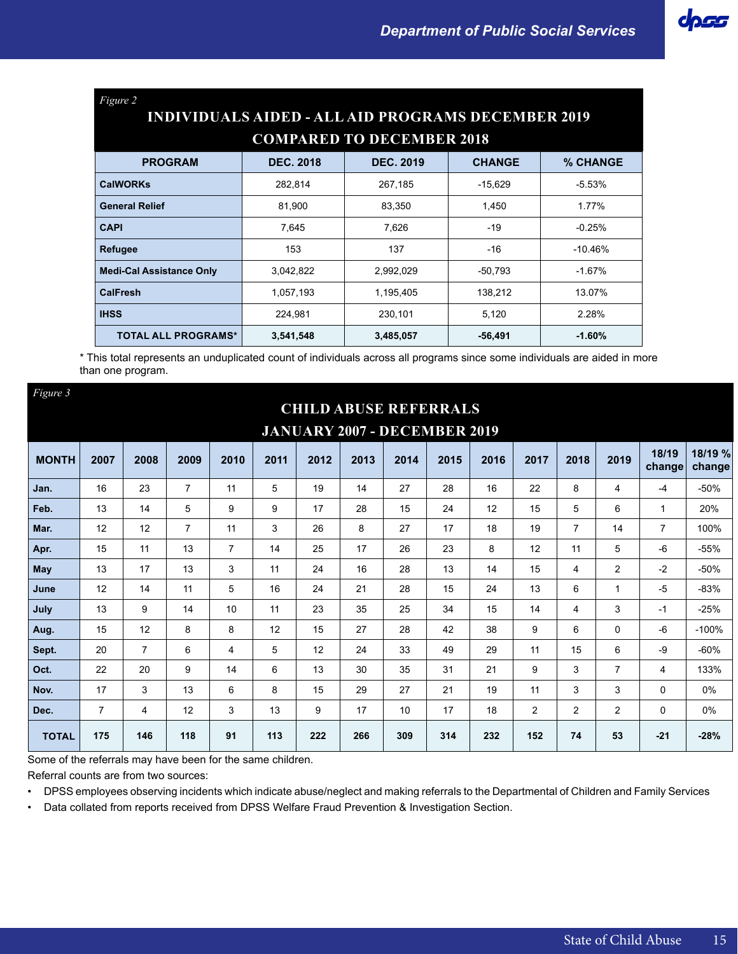| Figure 2<br><b>INDIVIDUALS AIDED - ALL AID PROGRAMS DECEMBER 2019</b> |                                                                   |           |           |           |  |  |  |  |  |  |  |
|-----------------------------------------------------------------------|-------------------------------------------------------------------|-----------|-----------|-----------|--|--|--|--|--|--|--|
| <b>COMPARED TO DECEMBER 2018</b>                                      |                                                                   |           |           |           |  |  |  |  |  |  |  |
| <b>PROGRAM</b>                                                        | <b>DEC. 2019</b><br>% CHANGE<br><b>DEC. 2018</b><br><b>CHANGE</b> |           |           |           |  |  |  |  |  |  |  |
| <b>CalWORKs</b>                                                       | 282,814                                                           | 267,185   | $-15,629$ | $-5.53%$  |  |  |  |  |  |  |  |
| <b>General Relief</b>                                                 | 81.900                                                            | 83.350    | 1,450     | 1.77%     |  |  |  |  |  |  |  |
| <b>CAPI</b>                                                           | 7.645                                                             | 7.626     | $-19$     | $-0.25%$  |  |  |  |  |  |  |  |
| <b>Refugee</b>                                                        | 153                                                               | 137       | $-16$     | $-10.46%$ |  |  |  |  |  |  |  |
| <b>Medi-Cal Assistance Only</b>                                       | 3,042,822                                                         | 2,992,029 | $-50,793$ | $-1.67%$  |  |  |  |  |  |  |  |
| <b>CalFresh</b>                                                       | 1,057,193                                                         | 1,195,405 | 138,212   | 13.07%    |  |  |  |  |  |  |  |
| <b>IHSS</b>                                                           | 224,981                                                           | 230,101   | 5,120     | 2.28%     |  |  |  |  |  |  |  |
| <b>TOTAL ALL PROGRAMS*</b>                                            | 3,541,548                                                         | 3,485,057 | $-56,491$ | $-1.60%$  |  |  |  |  |  |  |  |

\* This total represents an unduplicated count of individuals across all programs since some individuals are aided in more than one program.

| Figure 3     |                                     |                |                |                |      |      |                              |      |      |      |      |                |                |                 |                   |
|--------------|-------------------------------------|----------------|----------------|----------------|------|------|------------------------------|------|------|------|------|----------------|----------------|-----------------|-------------------|
|              |                                     |                |                |                |      |      | <b>CHILD ABUSE REFERRALS</b> |      |      |      |      |                |                |                 |                   |
|              | <b>JANUARY 2007 - DECEMBER 2019</b> |                |                |                |      |      |                              |      |      |      |      |                |                |                 |                   |
| <b>MONTH</b> | 2007                                | 2008           | 2009           | 2010           | 2011 | 2012 | 2013                         | 2014 | 2015 | 2016 | 2017 | 2018           | 2019           | 18/19<br>change | 18/19 %<br>change |
| Jan.         | 16                                  | 23             | $\overline{7}$ | 11             | 5    | 19   | 14                           | 27   | 28   | 16   | 22   | 8              | 4              | $-4$            | $-50%$            |
| Feb.         | 13                                  | 14             | 5              | 9              | 9    | 17   | 28                           | 15   | 24   | 12   | 15   | 5              | 6              | $\mathbf{1}$    | 20%               |
| Mar.         | 12                                  | 12             | $\overline{7}$ | 11             | 3    | 26   | 8                            | 27   | 17   | 18   | 19   | $\overline{7}$ | 14             | $\overline{7}$  | 100%              |
| Apr.         | 15                                  | 11             | 13             | $\overline{7}$ | 14   | 25   | 17                           | 26   | 23   | 8    | 12   | 11             | 5              | $-6$            | $-55%$            |
| May          | 13                                  | 17             | 13             | 3              | 11   | 24   | 16                           | 28   | 13   | 14   | 15   | 4              | $\overline{2}$ | $-2$            | $-50%$            |
| June         | 12                                  | 14             | 11             | 5              | 16   | 24   | 21                           | 28   | 15   | 24   | 13   | 6              | $\mathbf{1}$   | -5              | $-83%$            |
| July         | 13                                  | 9              | 14             | 10             | 11   | 23   | 35                           | 25   | 34   | 15   | 14   | 4              | 3              | -1              | $-25%$            |
| Aug.         | 15                                  | 12             | 8              | 8              | 12   | 15   | 27                           | 28   | 42   | 38   | 9    | 6              | 0              | $-6$            | $-100%$           |
| Sept.        | 20                                  | $\overline{7}$ | 6              | 4              | 5    | 12   | 24                           | 33   | 49   | 29   | 11   | 15             | 6              | -9              | $-60%$            |
| Oct.         | 22                                  | 20             | 9              | 14             | 6    | 13   | 30                           | 35   | 31   | 21   | 9    | 3              | $\overline{7}$ | 4               | 133%              |
| Nov.         | 17                                  | 3              | 13             | 6              | 8    | 15   | 29                           | 27   | 21   | 19   | 11   | 3              | 3              | $\Omega$        | 0%                |
| Dec.         | $\overline{7}$                      | 4              | 12             | 3              | 13   | 9    | 17                           | 10   | 17   | 18   | 2    | $\overline{2}$ | $\overline{2}$ | $\mathbf 0$     | 0%                |
| <b>TOTAL</b> | 175                                 | 146            | 118            | 91             | 113  | 222  | 266                          | 309  | 314  | 232  | 152  | 74             | 53             | $-21$           | $-28%$            |

Some of the referrals may have been for the same children.

Referral counts are from two sources:

• DPSS employees observing incidents which indicate abuse/neglect and making referrals to the Departmental of Children and Family Services

• Data collated from reports received from DPSS Welfare Fraud Prevention & Investigation Section.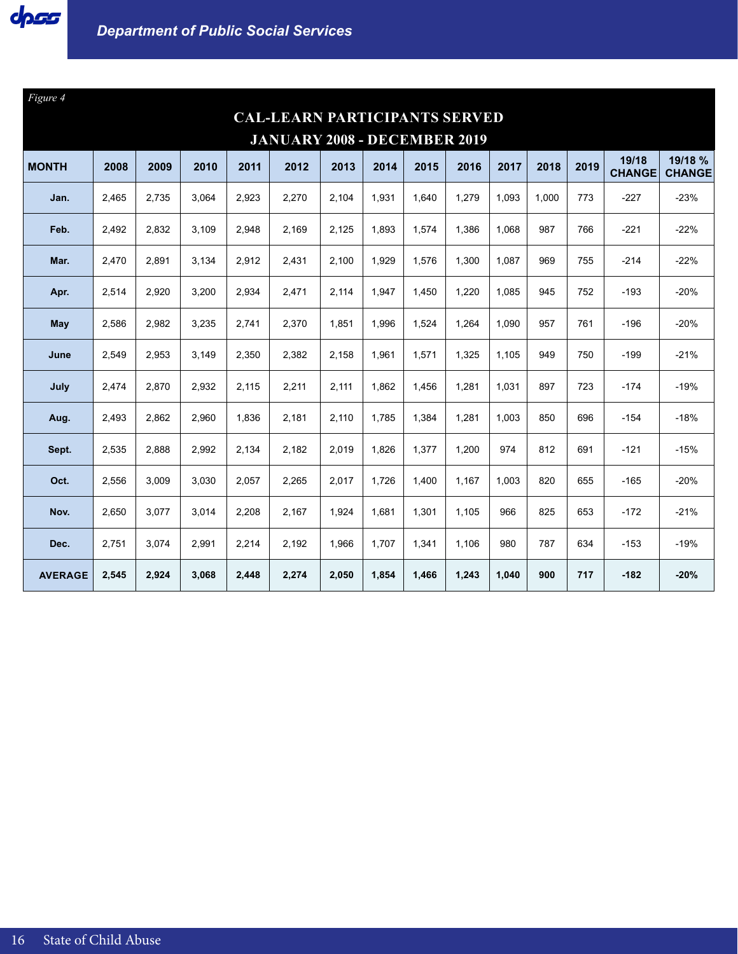

| Figure 4                            |       |       |       |       |                                      |       |       |       |       |       |       |      |                        |                          |
|-------------------------------------|-------|-------|-------|-------|--------------------------------------|-------|-------|-------|-------|-------|-------|------|------------------------|--------------------------|
|                                     |       |       |       |       | <b>CAL-LEARN PARTICIPANTS SERVED</b> |       |       |       |       |       |       |      |                        |                          |
| <b>JANUARY 2008 - DECEMBER 2019</b> |       |       |       |       |                                      |       |       |       |       |       |       |      |                        |                          |
| <b>MONTH</b>                        | 2008  | 2009  | 2010  | 2011  | 2012                                 | 2013  | 2014  | 2015  | 2016  | 2017  | 2018  | 2019 | 19/18<br><b>CHANGE</b> | 19/18 %<br><b>CHANGE</b> |
| Jan.                                | 2,465 | 2,735 | 3,064 | 2,923 | 2,270                                | 2,104 | 1,931 | 1,640 | 1,279 | 1,093 | 1,000 | 773  | $-227$                 | $-23%$                   |
| Feb.                                | 2,492 | 2,832 | 3,109 | 2,948 | 2,169                                | 2,125 | 1,893 | 1,574 | 1,386 | 1,068 | 987   | 766  | $-221$                 | $-22%$                   |
| Mar.                                | 2,470 | 2,891 | 3,134 | 2,912 | 2,431                                | 2,100 | 1,929 | 1,576 | 1,300 | 1,087 | 969   | 755  | $-214$                 | $-22%$                   |
| Apr.                                | 2,514 | 2,920 | 3,200 | 2,934 | 2,471                                | 2,114 | 1,947 | 1,450 | 1,220 | 1,085 | 945   | 752  | $-193$                 | $-20%$                   |
| May                                 | 2,586 | 2,982 | 3,235 | 2,741 | 2,370                                | 1,851 | 1.996 | 1,524 | 1,264 | 1,090 | 957   | 761  | $-196$                 | $-20%$                   |
| June                                | 2,549 | 2,953 | 3,149 | 2,350 | 2,382                                | 2,158 | 1,961 | 1,571 | 1,325 | 1,105 | 949   | 750  | $-199$                 | $-21%$                   |
| July                                | 2,474 | 2,870 | 2,932 | 2,115 | 2,211                                | 2,111 | 1.862 | 1,456 | 1,281 | 1,031 | 897   | 723  | $-174$                 | $-19%$                   |
| Aug.                                | 2.493 | 2,862 | 2.960 | 1,836 | 2,181                                | 2,110 | 1.785 | 1,384 | 1,281 | 1,003 | 850   | 696  | $-154$                 | $-18%$                   |
| Sept.                               | 2,535 | 2,888 | 2,992 | 2,134 | 2,182                                | 2,019 | 1,826 | 1,377 | 1,200 | 974   | 812   | 691  | $-121$                 | $-15%$                   |
| Oct.                                | 2,556 | 3,009 | 3,030 | 2,057 | 2,265                                | 2,017 | 1,726 | 1,400 | 1,167 | 1,003 | 820   | 655  | $-165$                 | $-20%$                   |
| Nov.                                | 2,650 | 3,077 | 3,014 | 2,208 | 2,167                                | 1,924 | 1,681 | 1,301 | 1,105 | 966   | 825   | 653  | $-172$                 | $-21%$                   |
| Dec.                                | 2,751 | 3,074 | 2,991 | 2,214 | 2,192                                | 1,966 | 1,707 | 1,341 | 1,106 | 980   | 787   | 634  | $-153$                 | $-19%$                   |
| <b>AVERAGE</b>                      | 2,545 | 2,924 | 3,068 | 2,448 | 2,274                                | 2,050 | 1,854 | 1,466 | 1,243 | 1,040 | 900   | 717  | $-182$                 | $-20%$                   |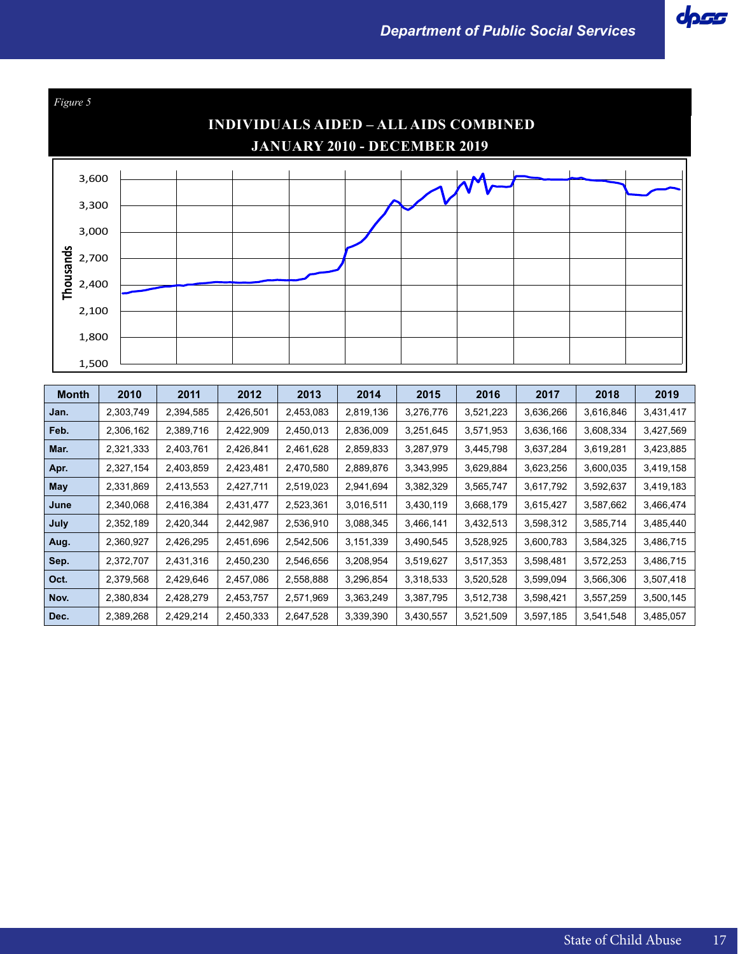

| <b>Month</b> | 2010      | 2011      | 2012      | 2013      | 2014      | 2015      | 2016      | 2017      | 2018      | 2019      |
|--------------|-----------|-----------|-----------|-----------|-----------|-----------|-----------|-----------|-----------|-----------|
| Jan.         | 2,303,749 | 2,394,585 | 2,426,501 | 2,453,083 | 2,819,136 | 3,276,776 | 3,521,223 | 3,636,266 | 3,616,846 | 3,431,417 |
| Feb.         | 2,306,162 | 2,389,716 | 2,422,909 | 2,450,013 | 2,836,009 | 3,251,645 | 3,571,953 | 3,636,166 | 3,608,334 | 3,427,569 |
| Mar.         | 2,321,333 | 2,403,761 | 2,426,841 | 2,461,628 | 2,859,833 | 3,287,979 | 3,445,798 | 3,637,284 | 3,619,281 | 3,423,885 |
| Apr.         | 2,327,154 | 2,403,859 | 2,423,481 | 2,470,580 | 2,889,876 | 3,343,995 | 3,629,884 | 3,623,256 | 3,600,035 | 3,419,158 |
| May          | 2,331,869 | 2,413,553 | 2,427,711 | 2,519,023 | 2,941,694 | 3,382,329 | 3,565,747 | 3,617,792 | 3,592,637 | 3,419,183 |
| June         | 2,340,068 | 2,416,384 | 2,431,477 | 2,523,361 | 3,016,511 | 3,430,119 | 3,668,179 | 3,615,427 | 3,587,662 | 3,466,474 |
| July         | 2,352,189 | 2,420,344 | 2,442,987 | 2,536,910 | 3,088,345 | 3,466,141 | 3,432,513 | 3,598,312 | 3,585,714 | 3,485,440 |
| Aug.         | 2,360,927 | 2,426,295 | 2,451,696 | 2,542,506 | 3,151,339 | 3,490,545 | 3,528,925 | 3,600,783 | 3,584,325 | 3,486,715 |
| Sep.         | 2,372,707 | 2,431,316 | 2,450,230 | 2,546,656 | 3,208,954 | 3,519,627 | 3,517,353 | 3,598,481 | 3,572,253 | 3,486,715 |
| Oct.         | 2,379,568 | 2,429,646 | 2,457,086 | 2,558,888 | 3,296,854 | 3,318,533 | 3,520,528 | 3,599,094 | 3,566,306 | 3,507,418 |
| Nov.         | 2,380,834 | 2,428,279 | 2,453,757 | 2,571,969 | 3,363,249 | 3,387,795 | 3,512,738 | 3,598,421 | 3,557,259 | 3,500,145 |
| Dec.         | 2,389,268 | 2,429,214 | 2,450,333 | 2,647,528 | 3,339,390 | 3,430,557 | 3,521,509 | 3,597,185 | 3,541,548 | 3,485,057 |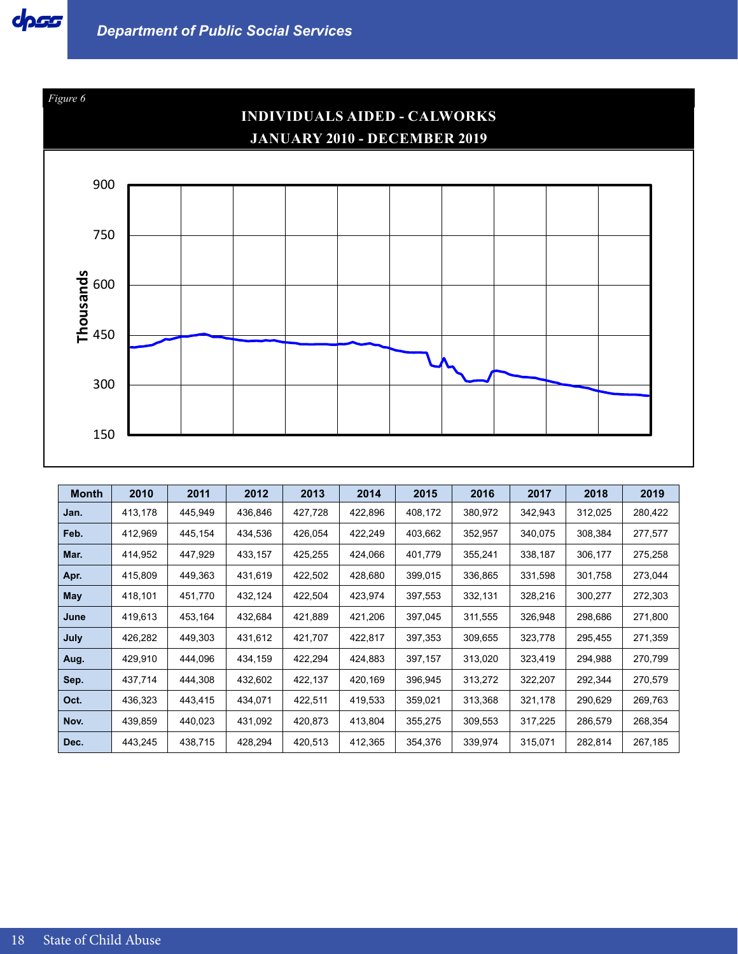



| <b>Month</b> | 2010    | 2011    | 2012    | 2013    | 2014    | 2015    | 2016    | 2017    | 2018    | 2019    |
|--------------|---------|---------|---------|---------|---------|---------|---------|---------|---------|---------|
| Jan.         | 413,178 | 445,949 | 436,846 | 427,728 | 422,896 | 408,172 | 380,972 | 342,943 | 312,025 | 280,422 |
| Feb.         | 412,969 | 445.154 | 434,536 | 426,054 | 422,249 | 403,662 | 352,957 | 340,075 | 308,384 | 277,577 |
| Mar.         | 414,952 | 447,929 | 433,157 | 425,255 | 424,066 | 401,779 | 355,241 | 338,187 | 306,177 | 275,258 |
| Apr.         | 415,809 | 449,363 | 431,619 | 422,502 | 428,680 | 399,015 | 336,865 | 331,598 | 301,758 | 273,044 |
| May          | 418,101 | 451,770 | 432,124 | 422,504 | 423,974 | 397,553 | 332,131 | 328,216 | 300,277 | 272,303 |
| June         | 419,613 | 453,164 | 432,684 | 421,889 | 421,206 | 397,045 | 311,555 | 326,948 | 298,686 | 271,800 |
| July         | 426,282 | 449,303 | 431,612 | 421,707 | 422,817 | 397,353 | 309,655 | 323,778 | 295,455 | 271,359 |
| Aug.         | 429,910 | 444.096 | 434,159 | 422,294 | 424,883 | 397,157 | 313,020 | 323,419 | 294,988 | 270,799 |
| Sep.         | 437,714 | 444,308 | 432,602 | 422,137 | 420,169 | 396,945 | 313,272 | 322,207 | 292,344 | 270,579 |
| Oct.         | 436,323 | 443,415 | 434,071 | 422,511 | 419,533 | 359,021 | 313,368 | 321,178 | 290,629 | 269,763 |
| Nov.         | 439,859 | 440,023 | 431,092 | 420,873 | 413,804 | 355,275 | 309,553 | 317,225 | 286,579 | 268,354 |
| Dec.         | 443,245 | 438,715 | 428,294 | 420,513 | 412,365 | 354,376 | 339,974 | 315,071 | 282,814 | 267,185 |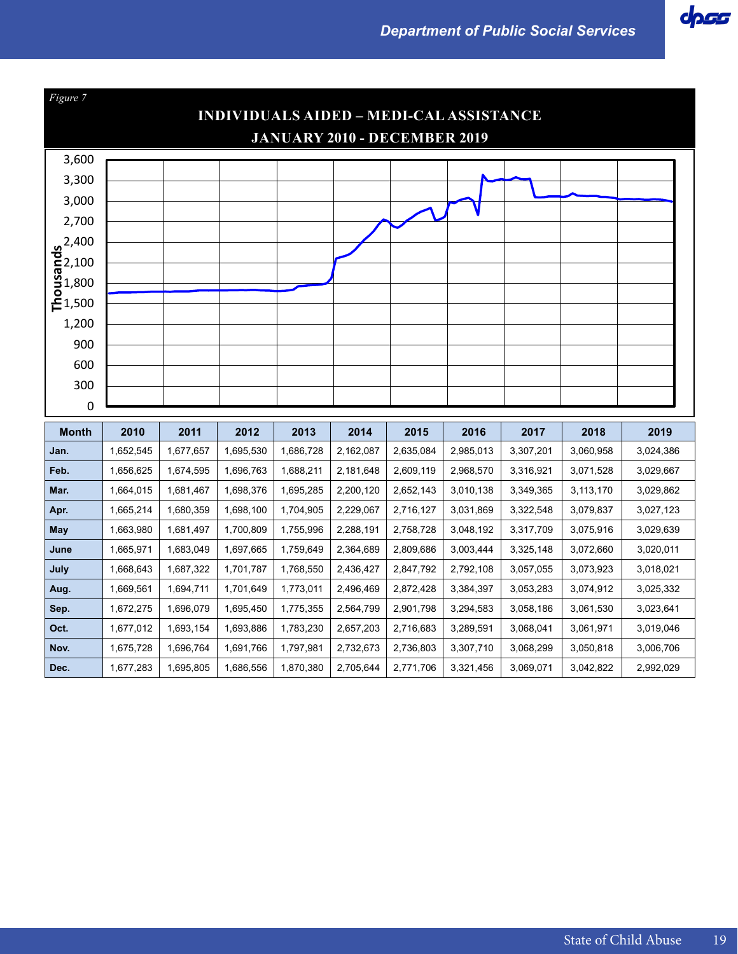

| Figure 7                                                                 |                                                |           |           |           |           |           |           |           |           |           |  |  |  |  |
|--------------------------------------------------------------------------|------------------------------------------------|-----------|-----------|-----------|-----------|-----------|-----------|-----------|-----------|-----------|--|--|--|--|
|                                                                          | <b>INDIVIDUALS AIDED - MEDI-CAL ASSISTANCE</b> |           |           |           |           |           |           |           |           |           |  |  |  |  |
|                                                                          | <b>JANUARY 2010 - DECEMBER 2019</b>            |           |           |           |           |           |           |           |           |           |  |  |  |  |
| 3,600                                                                    |                                                |           |           |           |           |           |           |           |           |           |  |  |  |  |
| 3,300                                                                    |                                                |           |           |           |           |           |           |           |           |           |  |  |  |  |
| 3,000                                                                    |                                                |           |           |           |           |           |           |           |           |           |  |  |  |  |
| 2,700                                                                    |                                                |           |           |           |           |           |           |           |           |           |  |  |  |  |
|                                                                          |                                                |           |           |           |           |           |           |           |           |           |  |  |  |  |
|                                                                          |                                                |           |           |           |           |           |           |           |           |           |  |  |  |  |
| $\frac{9}{6}$<br>$\frac{2,400}{6}$<br>$\frac{6}{3}$<br>$\frac{1,800}{6}$ |                                                |           |           |           |           |           |           |           |           |           |  |  |  |  |
| 든1,500                                                                   |                                                |           |           |           |           |           |           |           |           |           |  |  |  |  |
| 1,200                                                                    |                                                |           |           |           |           |           |           |           |           |           |  |  |  |  |
| 900                                                                      |                                                |           |           |           |           |           |           |           |           |           |  |  |  |  |
| 600                                                                      |                                                |           |           |           |           |           |           |           |           |           |  |  |  |  |
| 300                                                                      |                                                |           |           |           |           |           |           |           |           |           |  |  |  |  |
| 0                                                                        |                                                |           |           |           |           |           |           |           |           |           |  |  |  |  |
|                                                                          |                                                |           |           |           |           |           |           |           |           |           |  |  |  |  |
| <b>Month</b>                                                             | 2010                                           | 2011      | 2012      | 2013      | 2014      | 2015      | 2016      | 2017      | 2018      | 2019      |  |  |  |  |
| Jan.                                                                     | 1,652,545                                      | 1,677,657 | 1,695,530 | 1,686,728 | 2,162,087 | 2,635,084 | 2,985,013 | 3,307,201 | 3,060,958 | 3,024,386 |  |  |  |  |
| Feb.                                                                     | 1,656,625                                      | 1,674,595 | 1,696,763 | 1,688,211 | 2,181,648 | 2,609,119 | 2,968,570 | 3,316,921 | 3,071,528 | 3,029,667 |  |  |  |  |
| Mar.                                                                     | 1,664,015                                      | 1,681,467 | 1,698,376 | 1,695,285 | 2,200,120 | 2,652,143 | 3,010,138 | 3,349,365 | 3,113,170 | 3,029,862 |  |  |  |  |
| Apr.                                                                     | 1,665,214                                      | 1,680,359 | 1,698,100 | 1,704,905 | 2,229,067 | 2,716,127 | 3,031,869 | 3,322,548 | 3,079,837 | 3,027,123 |  |  |  |  |
| <b>May</b>                                                               | 1,663,980                                      | 1,681,497 | 1,700,809 | 1,755,996 | 2,288,191 | 2,758,728 | 3,048,192 | 3,317,709 | 3,075,916 | 3,029,639 |  |  |  |  |
| June                                                                     | 1,665,971                                      | 1,683,049 | 1,697,665 | 1,759,649 | 2,364,689 | 2,809,686 | 3,003,444 | 3,325,148 | 3,072,660 | 3,020,011 |  |  |  |  |
| July                                                                     | 1,668,643                                      | 1,687,322 | 1,701,787 | 1,768,550 | 2,436,427 | 2,847,792 | 2,792,108 | 3,057,055 | 3,073,923 | 3,018,021 |  |  |  |  |
| Aug.                                                                     | 1,669,561                                      | 1,694,711 | 1,701,649 | 1,773,011 | 2,496,469 | 2,872,428 | 3,384,397 | 3,053,283 | 3,074,912 | 3,025,332 |  |  |  |  |
| Sep.                                                                     | 1,672,275                                      | 1,696,079 | 1,695,450 | 1,775,355 | 2,564,799 | 2,901,798 | 3,294,583 | 3,058,186 | 3,061,530 | 3,023,641 |  |  |  |  |
| Oct.                                                                     | 1,677,012                                      | 1,693,154 | 1,693,886 | 1,783,230 | 2,657,203 | 2,716,683 | 3,289,591 | 3,068,041 | 3,061,971 | 3,019,046 |  |  |  |  |
| Nov.                                                                     | 1,675,728                                      | 1,696,764 | 1,691,766 | 1,797,981 | 2,732,673 | 2,736,803 | 3,307,710 | 3,068,299 | 3,050,818 | 3,006,706 |  |  |  |  |
| Dec.                                                                     | 1,677,283                                      | 1,695,805 | 1,686,556 | 1,870,380 | 2,705,644 | 2,771,706 | 3,321,456 | 3,069,071 | 3,042,822 | 2,992,029 |  |  |  |  |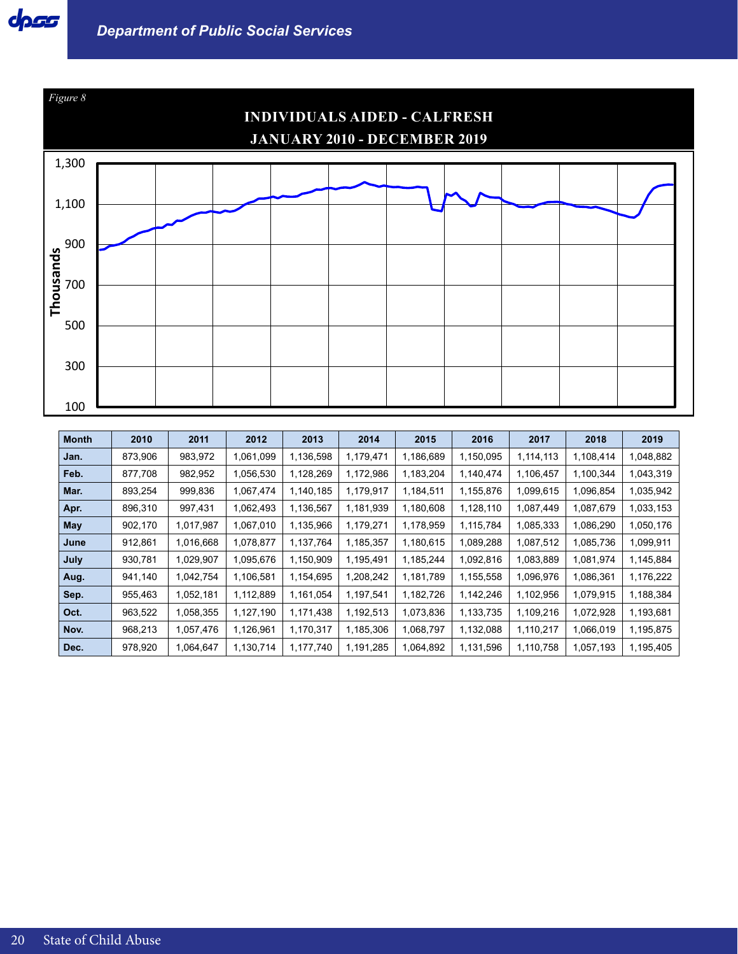

| <b>Month</b> | 2010    | 2011      | 2012      | 2013      | 2014      | 2015      | 2016      | 2017      | 2018      | 2019      |
|--------------|---------|-----------|-----------|-----------|-----------|-----------|-----------|-----------|-----------|-----------|
| Jan.         | 873,906 | 983,972   | 1,061,099 | 1,136,598 | 1,179,471 | 1,186,689 | 1,150,095 | 1,114,113 | 1,108,414 | 1,048,882 |
| Feb.         | 877,708 | 982,952   | 1,056,530 | 1,128,269 | 1,172,986 | 1,183,204 | 1,140,474 | 1,106,457 | 1,100,344 | 1,043,319 |
| Mar.         | 893,254 | 999,836   | 1,067,474 | 1,140,185 | 1,179,917 | 1,184,511 | 1,155,876 | 1,099,615 | 1,096,854 | 1,035,942 |
| Apr.         | 896,310 | 997,431   | 1,062,493 | 1,136,567 | 1,181,939 | 1,180,608 | 1,128,110 | 1,087,449 | 1,087,679 | 1,033,153 |
| May          | 902,170 | 1,017,987 | 1,067,010 | 1,135,966 | 1,179,271 | 1,178,959 | 1,115,784 | 1,085,333 | 1,086,290 | 1,050,176 |
| June         | 912,861 | 1,016,668 | 1,078,877 | 1,137,764 | 1,185,357 | 1,180,615 | 1,089,288 | 1,087,512 | 1,085,736 | 1,099,911 |
| July         | 930,781 | 1,029,907 | 1,095,676 | 1,150,909 | 1,195,491 | 1,185,244 | 1,092,816 | 1,083,889 | 1,081,974 | 1,145,884 |
| Aug.         | 941,140 | 1,042,754 | 1,106,581 | 1,154,695 | 1,208,242 | 1,181,789 | 1,155,558 | 1,096,976 | 1,086,361 | 1,176,222 |
| Sep.         | 955,463 | 1,052,181 | 1,112,889 | 1,161,054 | 1,197,541 | 1,182,726 | 1,142,246 | 1,102,956 | 1,079,915 | 1,188,384 |
| Oct.         | 963,522 | 1,058,355 | 1,127,190 | 1,171,438 | 1,192,513 | 1,073,836 | 1,133,735 | 1,109,216 | 1,072,928 | 1,193,681 |
| Nov.         | 968,213 | 1,057,476 | 1,126,961 | 1,170,317 | 1,185,306 | 1,068,797 | 1,132,088 | 1,110,217 | 1,066,019 | 1,195,875 |
| Dec.         | 978,920 | 1,064,647 | 1,130,714 | 1,177,740 | 1,191,285 | 1,064,892 | 1,131,596 | 1,110,758 | 1,057,193 | 1,195,405 |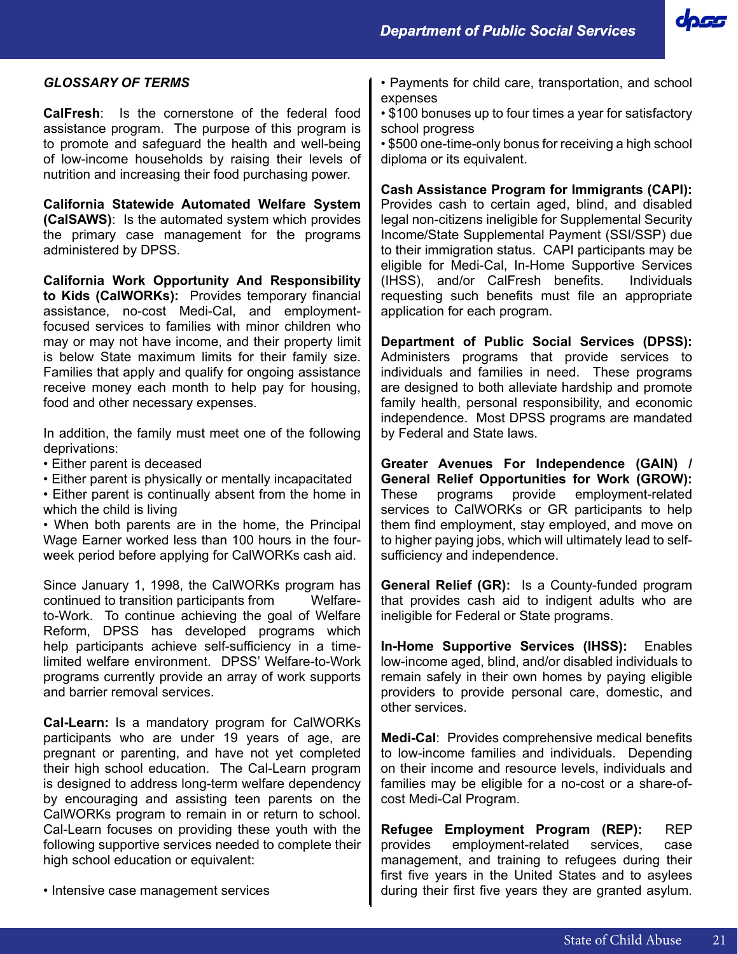*Department of Public Social Services*



## *GLOSSARY OF TERMS*

**CalFresh**: Is the cornerstone of the federal food assistance program. The purpose of this program is to promote and safeguard the health and well-being of low-income households by raising their levels of nutrition and increasing their food purchasing power.

**California Statewide Automated Welfare System (CalSAWS)**: Is the automated system which provides the primary case management for the programs administered by DPSS.

**California Work Opportunity And Responsibility to Kids (CalWORKs):** Provides temporary financial assistance, no-cost Medi-Cal, and employmentfocused services to families with minor children who may or may not have income, and their property limit is below State maximum limits for their family size. Families that apply and qualify for ongoing assistance receive money each month to help pay for housing, food and other necessary expenses.

In addition, the family must meet one of the following deprivations:

- Either parent is deceased
- Either parent is physically or mentally incapacitated

• Either parent is continually absent from the home in which the child is living

• When both parents are in the home, the Principal Wage Earner worked less than 100 hours in the fourweek period before applying for CalWORKs cash aid.

Since January 1, 1998, the CalWORKs program has continued to transition participants from Welfareto-Work. To continue achieving the goal of Welfare Reform, DPSS has developed programs which help participants achieve self-sufficiency in a timelimited welfare environment. DPSS' Welfare-to-Work programs currently provide an array of work supports and barrier removal services.

**Cal-Learn:** Is a mandatory program for CalWORKs participants who are under 19 years of age, are pregnant or parenting, and have not yet completed their high school education. The Cal-Learn program is designed to address long-term welfare dependency by encouraging and assisting teen parents on the CalWORKs program to remain in or return to school. Cal-Learn focuses on providing these youth with the following supportive services needed to complete their high school education or equivalent:

• Intensive case management services

- Payments for child care, transportation, and school expenses
- \$100 bonuses up to four times a year for satisfactory school progress
- \$500 one-time-only bonus for receiving a high school diploma or its equivalent.

**Cash Assistance Program for Immigrants (CAPI):** Provides cash to certain aged, blind, and disabled legal non-citizens ineligible for Supplemental Security Income/State Supplemental Payment (SSI/SSP) due to their immigration status. CAPI participants may be eligible for Medi-Cal, In-Home Supportive Services (IHSS), and/or CalFresh benefits. Individuals requesting such benefits must file an appropriate application for each program.

**Department of Public Social Services (DPSS):**  Administers programs that provide services to individuals and families in need. These programs are designed to both alleviate hardship and promote family health, personal responsibility, and economic independence. Most DPSS programs are mandated by Federal and State laws.

**Greater Avenues For Independence (GAIN) / General Relief Opportunities for Work (GROW):**  These programs provide employment-related services to CalWORKs or GR participants to help them find employment, stay employed, and move on to higher paying jobs, which will ultimately lead to selfsufficiency and independence.

**General Relief (GR):** Is a County-funded program that provides cash aid to indigent adults who are ineligible for Federal or State programs.

**In-Home Supportive Services (IHSS):** Enables low-income aged, blind, and/or disabled individuals to remain safely in their own homes by paying eligible providers to provide personal care, domestic, and other services.

**Medi-Cal**: Provides comprehensive medical benefits to low-income families and individuals. Depending on their income and resource levels, individuals and families may be eligible for a no-cost or a share-ofcost Medi-Cal Program.

**Refugee Employment Program (REP):** REP provides employment-related services, case management, and training to refugees during their first five years in the United States and to asylees during their first five years they are granted asylum.